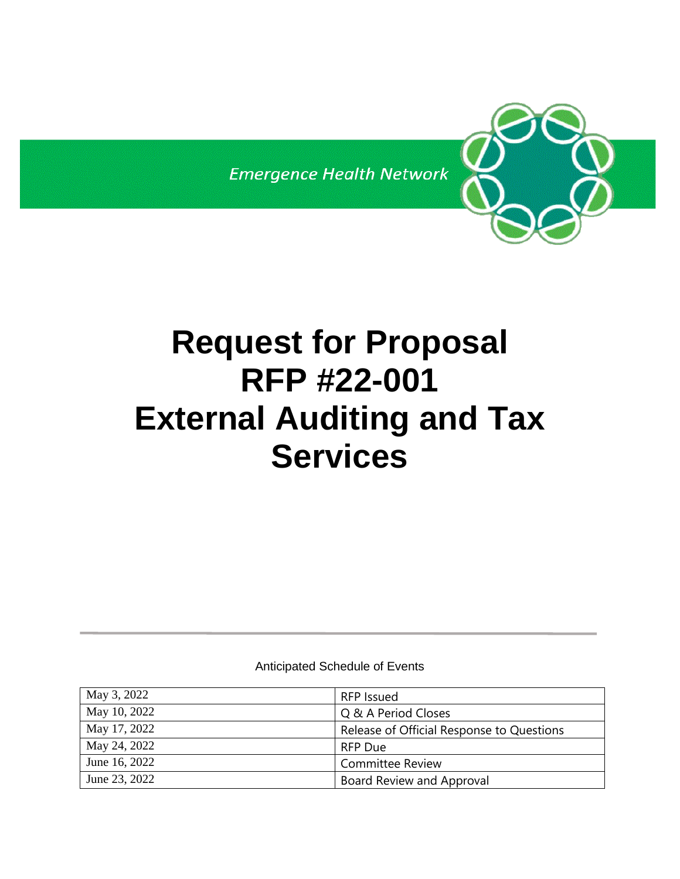**Emergence Health Network** 

# **Request for Proposal RFP #22-001 External Auditing and Tax Services**

Anticipated Schedule of Events

| May 3, 2022   | <b>RFP</b> Issued                         |
|---------------|-------------------------------------------|
| May 10, 2022  | Q & A Period Closes                       |
| May 17, 2022  | Release of Official Response to Questions |
| May 24, 2022  | <b>RFP Due</b>                            |
| June 16, 2022 | <b>Committee Review</b>                   |
| June 23, 2022 | Board Review and Approval                 |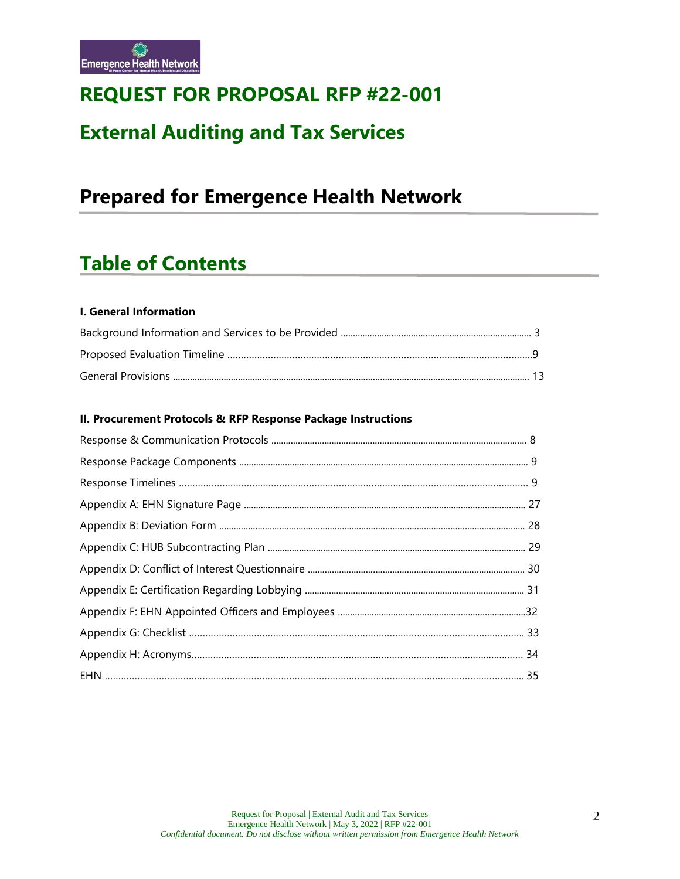

# **REQUEST FOR PROPOSAL RFP #22-001**

# **External Auditing and Tax Services**

# **Prepared for Emergence Health Network**

# **Table of Contents**

#### **I. General Information**

#### **II. Procurement Protocols & RFP Response Package Instructions**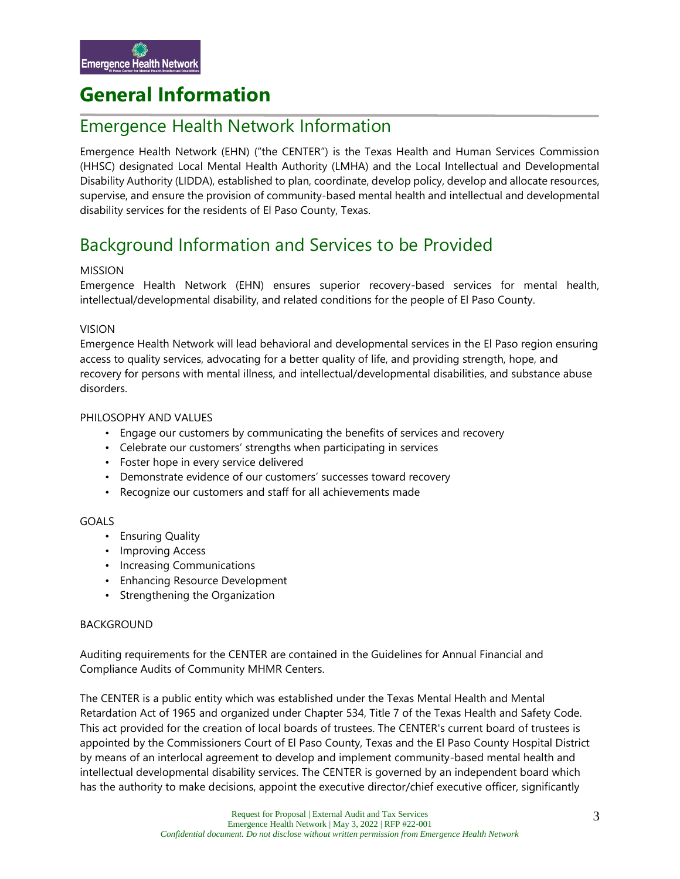# **General Information**

### Emergence Health Network Information

Emergence Health Network (EHN) ("the CENTER") is the Texas Health and Human Services Commission (HHSC) designated Local Mental Health Authority (LMHA) and the Local Intellectual and Developmental Disability Authority (LIDDA), established to plan, coordinate, develop policy, develop and allocate resources, supervise, and ensure the provision of community-based mental health and intellectual and developmental disability services for the residents of El Paso County, Texas.

# Background Information and Services to be Provided

#### MISSION

Emergence Health Network (EHN) ensures superior recovery-based services for mental health, intellectual/developmental disability, and related conditions for the people of El Paso County.

#### VISION

Emergence Health Network will lead behavioral and developmental services in the El Paso region ensuring access to quality services, advocating for a better quality of life, and providing strength, hope, and recovery for persons with mental illness, and intellectual/developmental disabilities, and substance abuse disorders.

#### PHILOSOPHY AND VALUES

- Engage our customers by communicating the benefits of services and recovery
- Celebrate our customers' strengths when participating in services
- Foster hope in every service delivered
- Demonstrate evidence of our customers' successes toward recovery
- Recognize our customers and staff for all achievements made

#### GOALS

- Ensuring Quality
- Improving Access
- Increasing Communications
- Enhancing Resource Development
- Strengthening the Organization

#### BACKGROUND

Auditing requirements for the CENTER are contained in the Guidelines for Annual Financial and Compliance Audits of Community MHMR Centers.

The CENTER is a public entity which was established under the Texas Mental Health and Mental Retardation Act of 1965 and organized under Chapter 534, Title 7 of the Texas Health and Safety Code. This act provided for the creation of local boards of trustees. The CENTER's current board of trustees is appointed by the Commissioners Court of El Paso County, Texas and the El Paso County Hospital District by means of an interlocal agreement to develop and implement community-based mental health and intellectual developmental disability services. The CENTER is governed by an independent board which has the authority to make decisions, appoint the executive director/chief executive officer, significantly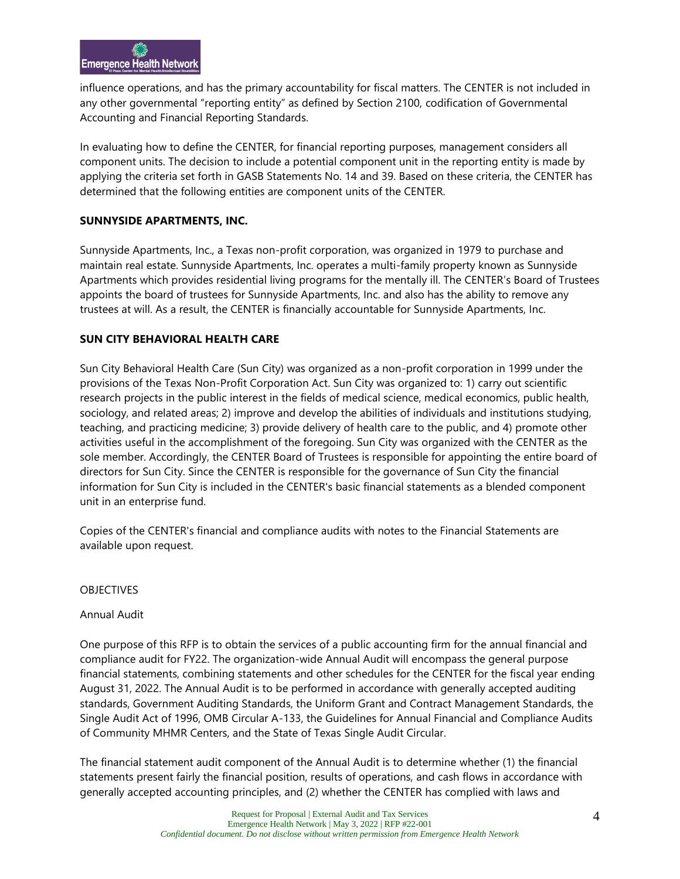influence operations, and has the primary accountability for fiscal matters. The CENTER is not included in any other governmental "reporting entity" as defined by Section 2100, codification of Governmental Accounting and Financial Reporting Standards.

In evaluating how to define the CENTER, for financial reporting purposes, management considers all component units. The decision to include a potential component unit in the reporting entity is made by applying the criteria set forth in GASB Statements No. 14 and 39. Based on these criteria, the CENTER has determined that the following entities are component units of the CENTER.

#### **SUNNYSIDE APARTMENTS, INC.**

Sunnyside Apartments, Inc., a Texas non-profit corporation, was organized in 1979 to purchase and maintain real estate. Sunnyside Apartments, Inc. operates a multi-family property known as Sunnyside Apartments which provides residential living programs for the mentally ill. The CENTER's Board of Trustees appoints the board of trustees for Sunnyside Apartments, Inc. and also has the ability to remove any trustees at will. As a result, the CENTER is financially accountable for Sunnyside Apartments, Inc.

#### **SUN CITY BEHAVIORAL HEALTH CARE**

Sun City Behavioral Health Care (Sun City) was organized as a non-profit corporation in 1999 under the provisions of the Texas Non-Profit Corporation Act. Sun City was organized to: 1) carry out scientific research projects in the public interest in the fields of medical science, medical economics, public health, sociology, and related areas; 2) improve and develop the abilities of individuals and institutions studying, teaching, and practicing medicine; 3) provide delivery of health care to the public, and 4) promote other activities useful in the accomplishment of the foregoing. Sun City was organized with the CENTER as the sole member. Accordingly, the CENTER Board of Trustees is responsible for appointing the entire board of directors for Sun City. Since the CENTER is responsible for the governance of Sun City the financial information for Sun City is included in the CENTER's basic financial statements as a blended component unit in an enterprise fund.

Copies of the CENTER's financial and compliance audits with notes to the Financial Statements are available upon request.

#### OBJECTIVES

#### Annual Audit

One purpose of this RFP is to obtain the services of a public accounting firm for the annual financial and compliance audit for FY22. The organization-wide Annual Audit will encompass the general purpose financial statements, combining statements and other schedules for the CENTER for the fiscal year ending August 31, 2022. The Annual Audit is to be performed in accordance with generally accepted auditing standards, Government Auditing Standards, the Uniform Grant and Contract Management Standards, the Single Audit Act of 1996, OMB Circular A-133, the Guidelines for Annual Financial and Compliance Audits of Community MHMR Centers, and the State of Texas Single Audit Circular.

The financial statement audit component of the Annual Audit is to determine whether (1) the financial statements present fairly the financial position, results of operations, and cash flows in accordance with generally accepted accounting principles, and (2) whether the CENTER has complied with laws and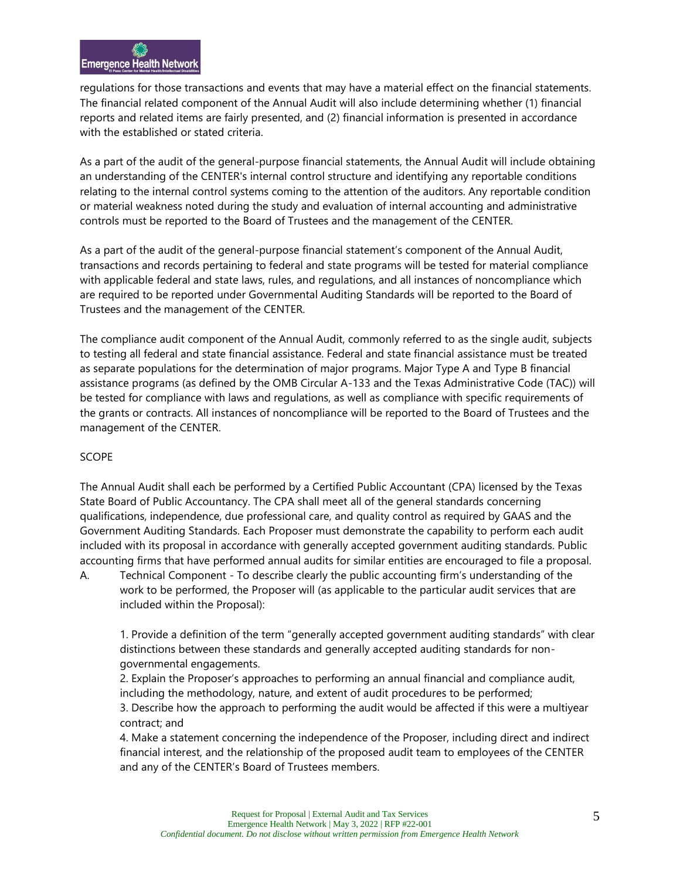regulations for those transactions and events that may have a material effect on the financial statements. The financial related component of the Annual Audit will also include determining whether (1) financial reports and related items are fairly presented, and (2) financial information is presented in accordance with the established or stated criteria.

As a part of the audit of the general-purpose financial statements, the Annual Audit will include obtaining an understanding of the CENTER's internal control structure and identifying any reportable conditions relating to the internal control systems coming to the attention of the auditors. Any reportable condition or material weakness noted during the study and evaluation of internal accounting and administrative controls must be reported to the Board of Trustees and the management of the CENTER.

As a part of the audit of the general-purpose financial statement's component of the Annual Audit, transactions and records pertaining to federal and state programs will be tested for material compliance with applicable federal and state laws, rules, and regulations, and all instances of noncompliance which are required to be reported under Governmental Auditing Standards will be reported to the Board of Trustees and the management of the CENTER.

The compliance audit component of the Annual Audit, commonly referred to as the single audit, subjects to testing all federal and state financial assistance. Federal and state financial assistance must be treated as separate populations for the determination of major programs. Major Type A and Type B financial assistance programs (as defined by the OMB Circular A-133 and the Texas Administrative Code (TAC)) will be tested for compliance with laws and regulations, as well as compliance with specific requirements of the grants or contracts. All instances of noncompliance will be reported to the Board of Trustees and the management of the CENTER.

#### SCOPE

The Annual Audit shall each be performed by a Certified Public Accountant (CPA) licensed by the Texas State Board of Public Accountancy. The CPA shall meet all of the general standards concerning qualifications, independence, due professional care, and quality control as required by GAAS and the Government Auditing Standards. Each Proposer must demonstrate the capability to perform each audit included with its proposal in accordance with generally accepted government auditing standards. Public accounting firms that have performed annual audits for similar entities are encouraged to file a proposal.

A. Technical Component - To describe clearly the public accounting firm's understanding of the work to be performed, the Proposer will (as applicable to the particular audit services that are included within the Proposal):

1. Provide a definition of the term "generally accepted government auditing standards" with clear distinctions between these standards and generally accepted auditing standards for nongovernmental engagements.

2. Explain the Proposer's approaches to performing an annual financial and compliance audit, including the methodology, nature, and extent of audit procedures to be performed; 3. Describe how the approach to performing the audit would be affected if this were a multiyear contract; and

4. Make a statement concerning the independence of the Proposer, including direct and indirect financial interest, and the relationship of the proposed audit team to employees of the CENTER and any of the CENTER's Board of Trustees members.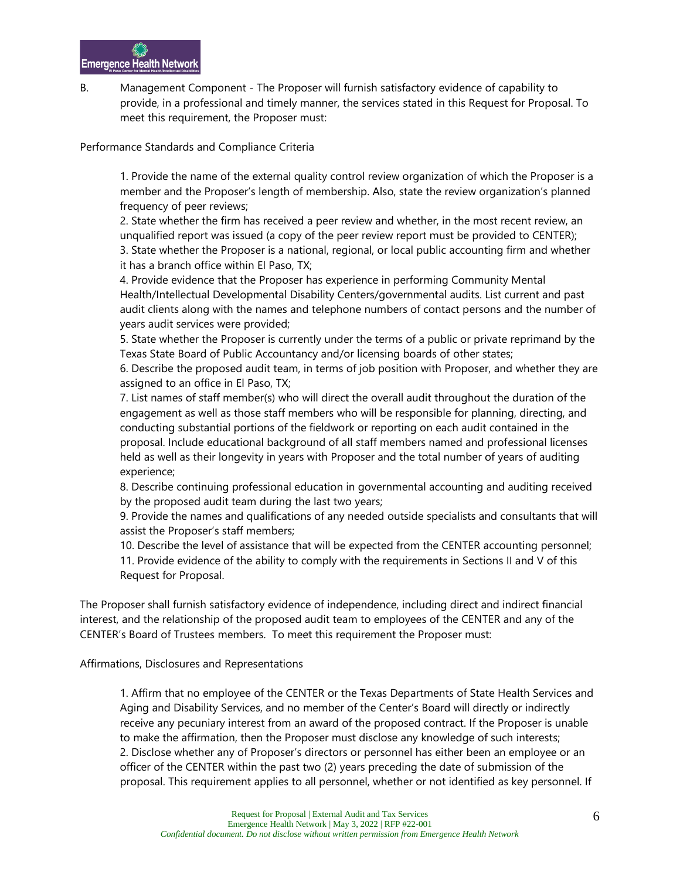B. Management Component - The Proposer will furnish satisfactory evidence of capability to provide, in a professional and timely manner, the services stated in this Request for Proposal. To meet this requirement, the Proposer must:

Performance Standards and Compliance Criteria

1. Provide the name of the external quality control review organization of which the Proposer is a member and the Proposer's length of membership. Also, state the review organization's planned frequency of peer reviews;

2. State whether the firm has received a peer review and whether, in the most recent review, an unqualified report was issued (a copy of the peer review report must be provided to CENTER); 3. State whether the Proposer is a national, regional, or local public accounting firm and whether it has a branch office within El Paso, TX;

4. Provide evidence that the Proposer has experience in performing Community Mental Health/Intellectual Developmental Disability Centers/governmental audits. List current and past audit clients along with the names and telephone numbers of contact persons and the number of years audit services were provided;

5. State whether the Proposer is currently under the terms of a public or private reprimand by the Texas State Board of Public Accountancy and/or licensing boards of other states;

6. Describe the proposed audit team, in terms of job position with Proposer, and whether they are assigned to an office in El Paso, TX;

7. List names of staff member(s) who will direct the overall audit throughout the duration of the engagement as well as those staff members who will be responsible for planning, directing, and conducting substantial portions of the fieldwork or reporting on each audit contained in the proposal. Include educational background of all staff members named and professional licenses held as well as their longevity in years with Proposer and the total number of years of auditing experience;

8. Describe continuing professional education in governmental accounting and auditing received by the proposed audit team during the last two years;

9. Provide the names and qualifications of any needed outside specialists and consultants that will assist the Proposer's staff members;

10. Describe the level of assistance that will be expected from the CENTER accounting personnel;

11. Provide evidence of the ability to comply with the requirements in Sections II and V of this Request for Proposal.

The Proposer shall furnish satisfactory evidence of independence, including direct and indirect financial interest, and the relationship of the proposed audit team to employees of the CENTER and any of the CENTER's Board of Trustees members. To meet this requirement the Proposer must:

Affirmations, Disclosures and Representations

1. Affirm that no employee of the CENTER or the Texas Departments of State Health Services and Aging and Disability Services, and no member of the Center's Board will directly or indirectly receive any pecuniary interest from an award of the proposed contract. If the Proposer is unable to make the affirmation, then the Proposer must disclose any knowledge of such interests; 2. Disclose whether any of Proposer's directors or personnel has either been an employee or an officer of the CENTER within the past two (2) years preceding the date of submission of the proposal. This requirement applies to all personnel, whether or not identified as key personnel. If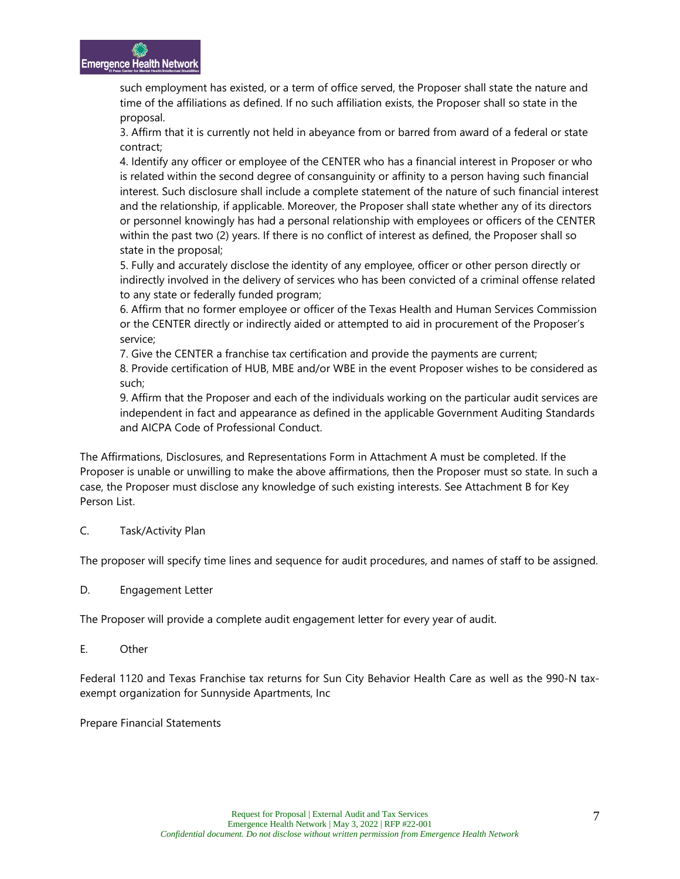such employment has existed, or a term of office served, the Proposer shall state the nature and time of the affiliations as defined. If no such affiliation exists, the Proposer shall so state in the proposal.

3. Affirm that it is currently not held in abeyance from or barred from award of a federal or state contract;

4. Identify any officer or employee of the CENTER who has a financial interest in Proposer or who is related within the second degree of consanguinity or affinity to a person having such financial interest. Such disclosure shall include a complete statement of the nature of such financial interest and the relationship, if applicable. Moreover, the Proposer shall state whether any of its directors or personnel knowingly has had a personal relationship with employees or officers of the CENTER within the past two (2) years. If there is no conflict of interest as defined, the Proposer shall so state in the proposal;

5. Fully and accurately disclose the identity of any employee, officer or other person directly or indirectly involved in the delivery of services who has been convicted of a criminal offense related to any state or federally funded program;

6. Affirm that no former employee or officer of the Texas Health and Human Services Commission or the CENTER directly or indirectly aided or attempted to aid in procurement of the Proposer's service;

7. Give the CENTER a franchise tax certification and provide the payments are current;

8. Provide certification of HUB, MBE and/or WBE in the event Proposer wishes to be considered as such;

9. Affirm that the Proposer and each of the individuals working on the particular audit services are independent in fact and appearance as defined in the applicable Government Auditing Standards and AICPA Code of Professional Conduct.

The Affirmations, Disclosures, and Representations Form in Attachment A must be completed. If the Proposer is unable or unwilling to make the above affirmations, then the Proposer must so state. In such a case, the Proposer must disclose any knowledge of such existing interests. See Attachment B for Key Person List.

#### C. Task/Activity Plan

The proposer will specify time lines and sequence for audit procedures, and names of staff to be assigned.

D. Engagement Letter

The Proposer will provide a complete audit engagement letter for every year of audit.

E. Other

Federal 1120 and Texas Franchise tax returns for Sun City Behavior Health Care as well as the 990-N taxexempt organization for Sunnyside Apartments, Inc

Prepare Financial Statements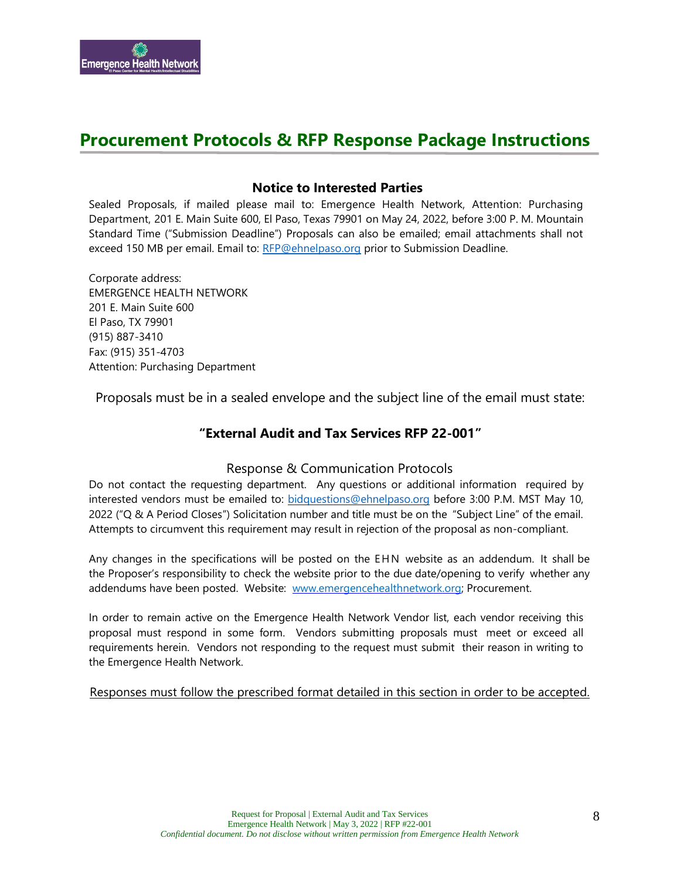

## **Procurement Protocols & RFP Response Package Instructions**

#### **Notice to Interested Parties**

Sealed Proposals, if mailed please mail to: Emergence Health Network, Attention: Purchasing Department, 201 E. Main Suite 600, El Paso, Texas 79901 on May 24, 2022, before 3:00 P. M. Mountain Standard Time ("Submission Deadline") Proposals can also be emailed; email attachments shall not exceed 150 MB per email. Email to: [RFP@ehnelpaso.org](mailto:RFP@ehnelpaso.org) prior to Submission Deadline.

Corporate address: EMERGENCE HEALTH NETWORK 201 E. Main Suite 600 El Paso, TX 79901 (915) 887-3410 Fax: (915) 351-4703 Attention: Purchasing Department

Proposals must be in a sealed envelope and the subject line of the email must state:

#### **"External Audit and Tax Services RFP 22-001"**

#### Response & Communication Protocols

Do not contact the requesting department. Any questions or additional information required by interested vendors must be emailed to: [bidquestions@ehnelpaso.org](mailto:bidquestions@ehnelpaso.com) before 3:00 P.M. MST May 10, 2022 ("Q & A Period Closes") Solicitation number and title must be on the "Subject Line" of the email. Attempts to circumvent this requirement may result in rejection of the proposal as non-compliant.

Any changes in the specifications will be posted on the EHN website as an addendum. It shall be the Proposer's responsibility to check the website prior to the due date/opening to verify whether any addendums have been posted. Website: [www.emergencehealthnetwork.org;](http://www.emergencehealthnetwork.org/) Procurement.

In order to remain active on the Emergence Health Network Vendor list, each vendor receiving this proposal must respond in some form. Vendors submitting proposals must meet or exceed all requirements herein. Vendors not responding to the request must submit their reason in writing to the Emergence Health Network.

Responses must follow the prescribed format detailed in this section in order to be accepted.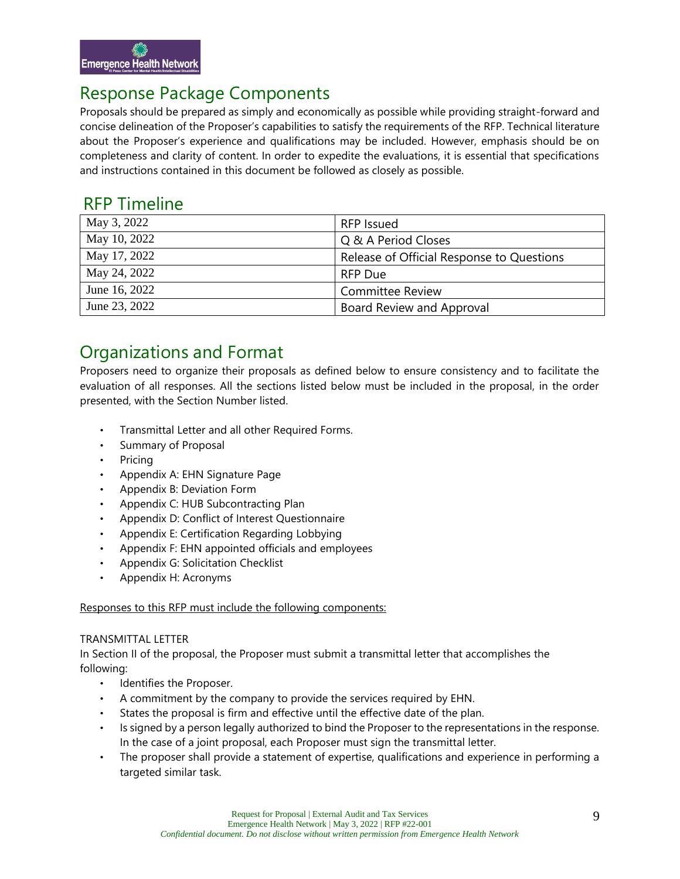## Response Package Components

Proposals should be prepared as simply and economically as possible while providing straight-forward and concise delineation of the Proposer's capabilities to satisfy the requirements of the RFP. Technical literature about the Proposer's experience and qualifications may be included. However, emphasis should be on completeness and clarity of content. In order to expedite the evaluations, it is essential that specifications and instructions contained in this document be followed as closely as possible.

### RFP Timeline

| May 3, 2022   | RFP Issued                                |
|---------------|-------------------------------------------|
| May 10, 2022  | Q & A Period Closes                       |
| May 17, 2022  | Release of Official Response to Questions |
| May 24, 2022  | <b>RFP Due</b>                            |
| June 16, 2022 | <b>Committee Review</b>                   |
| June 23, 2022 | Board Review and Approval                 |

# Organizations and Format

Proposers need to organize their proposals as defined below to ensure consistency and to facilitate the evaluation of all responses. All the sections listed below must be included in the proposal, in the order presented, with the Section Number listed.

- Transmittal Letter and all other Required Forms.
- Summary of Proposal
- Pricing
- Appendix A: EHN Signature Page
- Appendix B: Deviation Form
- Appendix C: HUB Subcontracting Plan
- Appendix D: Conflict of Interest Questionnaire
- Appendix E: Certification Regarding Lobbying
- Appendix F: EHN appointed officials and employees
- Appendix G: Solicitation Checklist
- Appendix H: Acronyms

#### Responses to this RFP must include the following components:

#### TRANSMITTAL LETTER

In Section II of the proposal, the Proposer must submit a transmittal letter that accomplishes the following:

- Identifies the Proposer.
- A commitment by the company to provide the services required by EHN.
- States the proposal is firm and effective until the effective date of the plan.
- Is signed by a person legally authorized to bind the Proposer to the representations in the response. In the case of a joint proposal, each Proposer must sign the transmittal letter.
- The proposer shall provide a statement of expertise, qualifications and experience in performing a targeted similar task.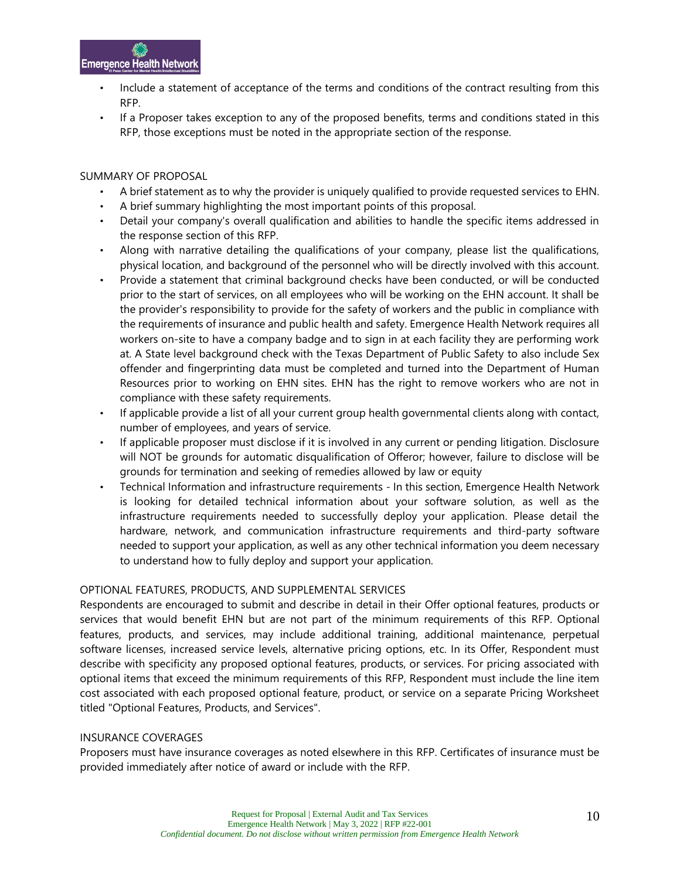

- Include a statement of acceptance of the terms and conditions of the contract resulting from this RFP.
- If a Proposer takes exception to any of the proposed benefits, terms and conditions stated in this RFP, those exceptions must be noted in the appropriate section of the response.

#### SUMMARY OF PROPOSAL

- A brief statement as to why the provider is uniquely qualified to provide requested services to EHN.
- A brief summary highlighting the most important points of this proposal.
- Detail your company's overall qualification and abilities to handle the specific items addressed in the response section of this RFP.
- Along with narrative detailing the qualifications of your company, please list the qualifications, physical location, and background of the personnel who will be directly involved with this account.
- Provide a statement that criminal background checks have been conducted, or will be conducted prior to the start of services, on all employees who will be working on the EHN account. It shall be the provider's responsibility to provide for the safety of workers and the public in compliance with the requirements of insurance and public health and safety. Emergence Health Network requires all workers on-site to have a company badge and to sign in at each facility they are performing work at. A State level background check with the Texas Department of Public Safety to also include Sex offender and fingerprinting data must be completed and turned into the Department of Human Resources prior to working on EHN sites. EHN has the right to remove workers who are not in compliance with these safety requirements.
- If applicable provide a list of all your current group health governmental clients along with contact, number of employees, and years of service.
- If applicable proposer must disclose if it is involved in any current or pending litigation. Disclosure will NOT be grounds for automatic disqualification of Offeror; however, failure to disclose will be grounds for termination and seeking of remedies allowed by law or equity
- Technical Information and infrastructure requirements In this section, Emergence Health Network is looking for detailed technical information about your software solution, as well as the infrastructure requirements needed to successfully deploy your application. Please detail the hardware, network, and communication infrastructure requirements and third-party software needed to support your application, as well as any other technical information you deem necessary to understand how to fully deploy and support your application.

#### OPTIONAL FEATURES, PRODUCTS, AND SUPPLEMENTAL SERVICES

Respondents are encouraged to submit and describe in detail in their Offer optional features, products or services that would benefit EHN but are not part of the minimum requirements of this RFP. Optional features, products, and services, may include additional training, additional maintenance, perpetual software licenses, increased service levels, alternative pricing options, etc. In its Offer, Respondent must describe with specificity any proposed optional features, products, or services. For pricing associated with optional items that exceed the minimum requirements of this RFP, Respondent must include the line item cost associated with each proposed optional feature, product, or service on a separate Pricing Worksheet titled "Optional Features, Products, and Services".

#### INSURANCE COVERAGES

Proposers must have insurance coverages as noted elsewhere in this RFP. Certificates of insurance must be provided immediately after notice of award or include with the RFP.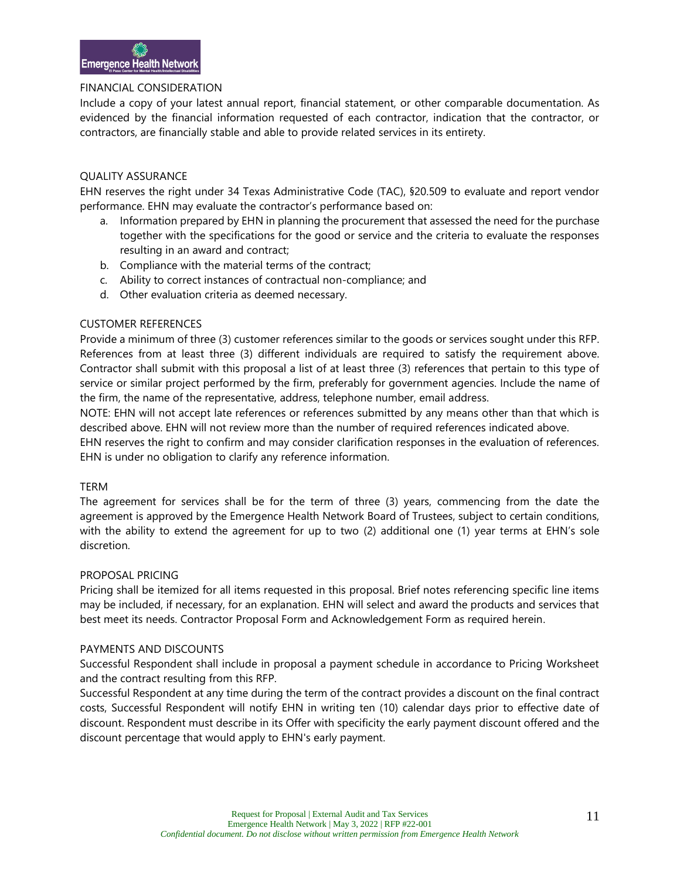#### FINANCIAL CONSIDERATION

Include a copy of your latest annual report, financial statement, or other comparable documentation. As evidenced by the financial information requested of each contractor, indication that the contractor, or contractors, are financially stable and able to provide related services in its entirety.

#### QUALITY ASSURANCE

EHN reserves the right under 34 Texas Administrative Code (TAC), §20.509 to evaluate and report vendor performance. EHN may evaluate the contractor's performance based on:

- a. Information prepared by EHN in planning the procurement that assessed the need for the purchase together with the specifications for the good or service and the criteria to evaluate the responses resulting in an award and contract;
- b. Compliance with the material terms of the contract;
- c. Ability to correct instances of contractual non-compliance; and
- d. Other evaluation criteria as deemed necessary.

#### CUSTOMER REFERENCES

Provide a minimum of three (3) customer references similar to the goods or services sought under this RFP. References from at least three (3) different individuals are required to satisfy the requirement above. Contractor shall submit with this proposal a list of at least three (3) references that pertain to this type of service or similar project performed by the firm, preferably for government agencies. Include the name of the firm, the name of the representative, address, telephone number, email address.

NOTE: EHN will not accept late references or references submitted by any means other than that which is described above. EHN will not review more than the number of required references indicated above.

EHN reserves the right to confirm and may consider clarification responses in the evaluation of references. EHN is under no obligation to clarify any reference information.

#### TERM

The agreement for services shall be for the term of three (3) years, commencing from the date the agreement is approved by the Emergence Health Network Board of Trustees, subject to certain conditions, with the ability to extend the agreement for up to two (2) additional one (1) year terms at EHN's sole discretion.

#### PROPOSAL PRICING

Pricing shall be itemized for all items requested in this proposal. Brief notes referencing specific line items may be included, if necessary, for an explanation. EHN will select and award the products and services that best meet its needs. Contractor Proposal Form and Acknowledgement Form as required herein.

#### PAYMENTS AND DISCOUNTS

Successful Respondent shall include in proposal a payment schedule in accordance to Pricing Worksheet and the contract resulting from this RFP.

Successful Respondent at any time during the term of the contract provides a discount on the final contract costs, Successful Respondent will notify EHN in writing ten (10) calendar days prior to effective date of discount. Respondent must describe in its Offer with specificity the early payment discount offered and the discount percentage that would apply to EHN's early payment.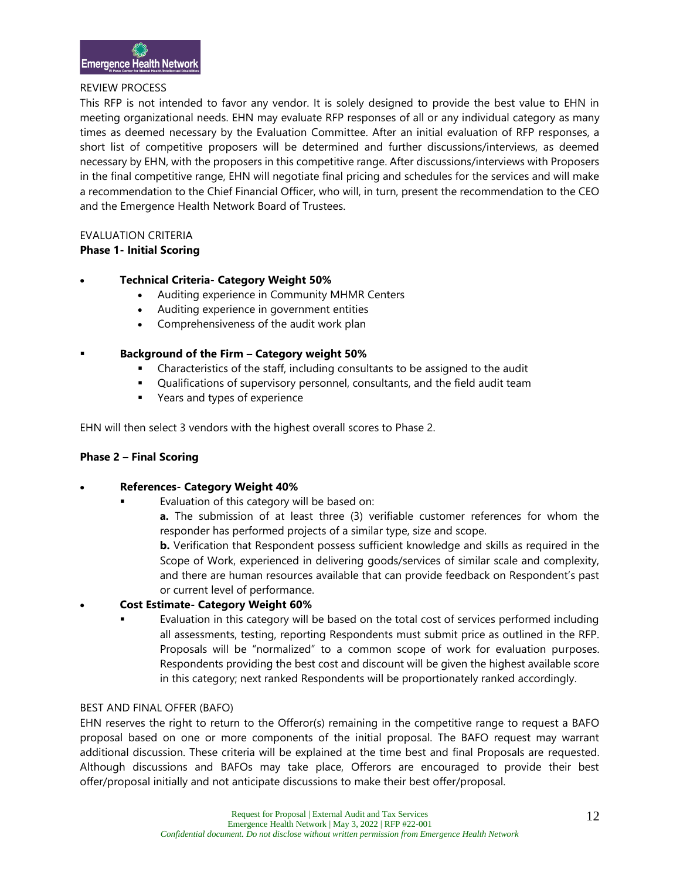#### REVIEW PROCESS

This RFP is not intended to favor any vendor. It is solely designed to provide the best value to EHN in meeting organizational needs. EHN may evaluate RFP responses of all or any individual category as many times as deemed necessary by the Evaluation Committee. After an initial evaluation of RFP responses, a short list of competitive proposers will be determined and further discussions/interviews, as deemed necessary by EHN, with the proposers in this competitive range. After discussions/interviews with Proposers in the final competitive range, EHN will negotiate final pricing and schedules for the services and will make a recommendation to the Chief Financial Officer, who will, in turn, present the recommendation to the CEO and the Emergence Health Network Board of Trustees.

#### EVALUATION CRITERIA

#### **Phase 1- Initial Scoring**

#### • **Technical Criteria- Category Weight 50%**

- Auditing experience in Community MHMR Centers
- Auditing experience in government entities
- Comprehensiveness of the audit work plan
- **Background of the Firm – Category weight 50%**
	- Characteristics of the staff, including consultants to be assigned to the audit
	- **•** Qualifications of supervisory personnel, consultants, and the field audit team
	- Years and types of experience

EHN will then select 3 vendors with the highest overall scores to Phase 2.

#### **Phase 2 – Final Scoring**

#### • **References- Category Weight 40%**

- Evaluation of this category will be based on:
	- **a.** The submission of at least three (3) verifiable customer references for whom the responder has performed projects of a similar type, size and scope.

**b.** Verification that Respondent possess sufficient knowledge and skills as required in the Scope of Work, experienced in delivering goods/services of similar scale and complexity, and there are human resources available that can provide feedback on Respondent's past or current level of performance.

#### • **Cost Estimate- Category Weight 60%**

Evaluation in this category will be based on the total cost of services performed including all assessments, testing, reporting Respondents must submit price as outlined in the RFP. Proposals will be "normalized" to a common scope of work for evaluation purposes. Respondents providing the best cost and discount will be given the highest available score in this category; next ranked Respondents will be proportionately ranked accordingly.

#### BEST AND FINAL OFFER (BAFO)

EHN reserves the right to return to the Offeror(s) remaining in the competitive range to request a BAFO proposal based on one or more components of the initial proposal. The BAFO request may warrant additional discussion. These criteria will be explained at the time best and final Proposals are requested. Although discussions and BAFOs may take place, Offerors are encouraged to provide their best offer/proposal initially and not anticipate discussions to make their best offer/proposal.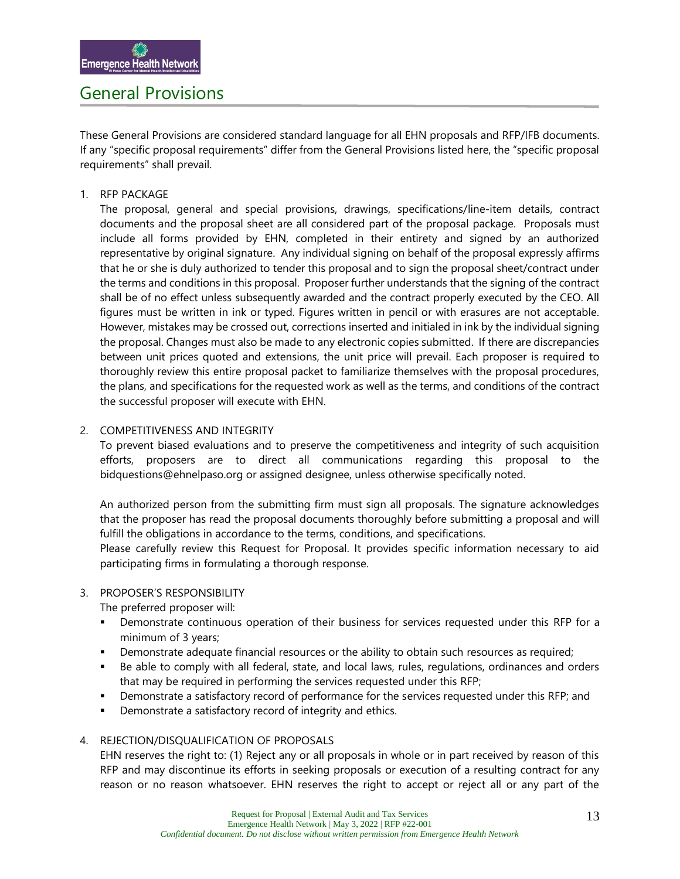### General Provisions

These General Provisions are considered standard language for all EHN proposals and RFP/IFB documents. If any "specific proposal requirements" differ from the General Provisions listed here, the "specific proposal requirements" shall prevail.

#### 1. RFP PACKAGE

The proposal, general and special provisions, drawings, specifications/line-item details, contract documents and the proposal sheet are all considered part of the proposal package. Proposals must include all forms provided by EHN, completed in their entirety and signed by an authorized representative by original signature. Any individual signing on behalf of the proposal expressly affirms that he or she is duly authorized to tender this proposal and to sign the proposal sheet/contract under the terms and conditions in this proposal. Proposer further understands that the signing of the contract shall be of no effect unless subsequently awarded and the contract properly executed by the CEO. All figures must be written in ink or typed. Figures written in pencil or with erasures are not acceptable. However, mistakes may be crossed out, corrections inserted and initialed in ink by the individual signing the proposal. Changes must also be made to any electronic copies submitted. If there are discrepancies between unit prices quoted and extensions, the unit price will prevail. Each proposer is required to thoroughly review this entire proposal packet to familiarize themselves with the proposal procedures, the plans, and specifications for the requested work as well as the terms, and conditions of the contract the successful proposer will execute with EHN.

#### 2. COMPETITIVENESS AND INTEGRITY

To prevent biased evaluations and to preserve the competitiveness and integrity of such acquisition efforts, proposers are to direct all communications regarding this proposal to the bidquestions@ehnelpaso.org or assigned designee, unless otherwise specifically noted.

An authorized person from the submitting firm must sign all proposals. The signature acknowledges that the proposer has read the proposal documents thoroughly before submitting a proposal and will fulfill the obligations in accordance to the terms, conditions, and specifications.

Please carefully review this Request for Proposal. It provides specific information necessary to aid participating firms in formulating a thorough response.

#### 3. PROPOSER'S RESPONSIBILITY

The preferred proposer will:

- Demonstrate continuous operation of their business for services requested under this RFP for a minimum of 3 years;
- **•** Demonstrate adequate financial resources or the ability to obtain such resources as required;
- Be able to comply with all federal, state, and local laws, rules, regulations, ordinances and orders that may be required in performing the services requested under this RFP;
- Demonstrate a satisfactory record of performance for the services requested under this RFP; and
- Demonstrate a satisfactory record of integrity and ethics.

#### 4. REJECTION/DISQUALIFICATION OF PROPOSALS

EHN reserves the right to: (1) Reject any or all proposals in whole or in part received by reason of this RFP and may discontinue its efforts in seeking proposals or execution of a resulting contract for any reason or no reason whatsoever. EHN reserves the right to accept or reject all or any part of the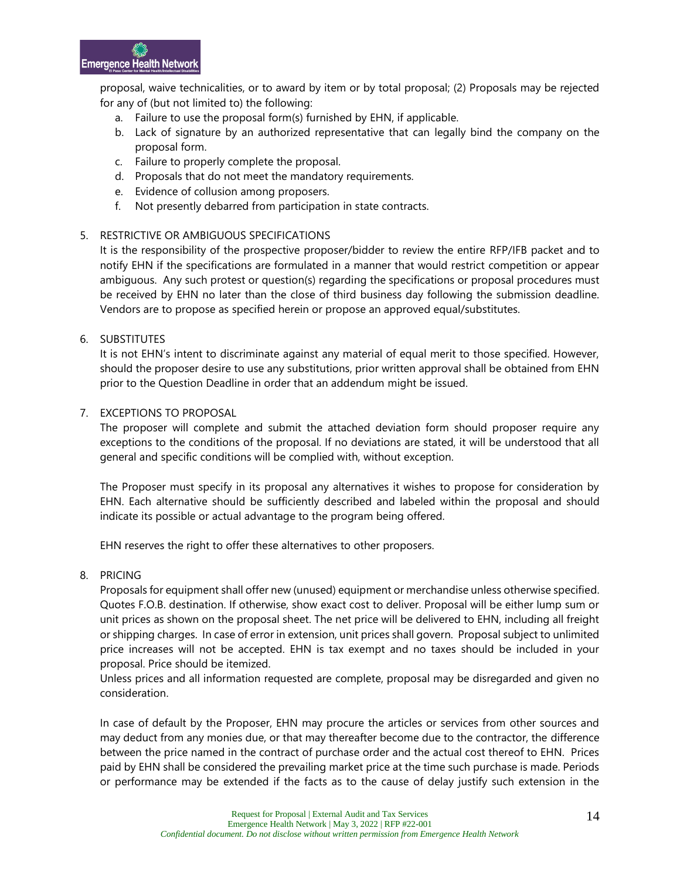proposal, waive technicalities, or to award by item or by total proposal; (2) Proposals may be rejected for any of (but not limited to) the following:

- a. Failure to use the proposal form(s) furnished by EHN, if applicable.
- b. Lack of signature by an authorized representative that can legally bind the company on the proposal form.
- c. Failure to properly complete the proposal.
- d. Proposals that do not meet the mandatory requirements.
- e. Evidence of collusion among proposers.
- f. Not presently debarred from participation in state contracts.

#### 5. RESTRICTIVE OR AMBIGUOUS SPECIFICATIONS

It is the responsibility of the prospective proposer/bidder to review the entire RFP/IFB packet and to notify EHN if the specifications are formulated in a manner that would restrict competition or appear ambiguous. Any such protest or question(s) regarding the specifications or proposal procedures must be received by EHN no later than the close of third business day following the submission deadline. Vendors are to propose as specified herein or propose an approved equal/substitutes.

#### 6. SUBSTITUTES

It is not EHN's intent to discriminate against any material of equal merit to those specified. However, should the proposer desire to use any substitutions, prior written approval shall be obtained from EHN prior to the Question Deadline in order that an addendum might be issued.

#### 7. EXCEPTIONS TO PROPOSAL

The proposer will complete and submit the attached deviation form should proposer require any exceptions to the conditions of the proposal. If no deviations are stated, it will be understood that all general and specific conditions will be complied with, without exception.

The Proposer must specify in its proposal any alternatives it wishes to propose for consideration by EHN. Each alternative should be sufficiently described and labeled within the proposal and should indicate its possible or actual advantage to the program being offered.

EHN reserves the right to offer these alternatives to other proposers.

#### 8. PRICING

Proposals for equipment shall offer new (unused) equipment or merchandise unless otherwise specified. Quotes F.O.B. destination. If otherwise, show exact cost to deliver. Proposal will be either lump sum or unit prices as shown on the proposal sheet. The net price will be delivered to EHN, including all freight or shipping charges. In case of error in extension, unit prices shall govern. Proposal subject to unlimited price increases will not be accepted. EHN is tax exempt and no taxes should be included in your proposal. Price should be itemized.

Unless prices and all information requested are complete, proposal may be disregarded and given no consideration.

In case of default by the Proposer, EHN may procure the articles or services from other sources and may deduct from any monies due, or that may thereafter become due to the contractor, the difference between the price named in the contract of purchase order and the actual cost thereof to EHN. Prices paid by EHN shall be considered the prevailing market price at the time such purchase is made. Periods or performance may be extended if the facts as to the cause of delay justify such extension in the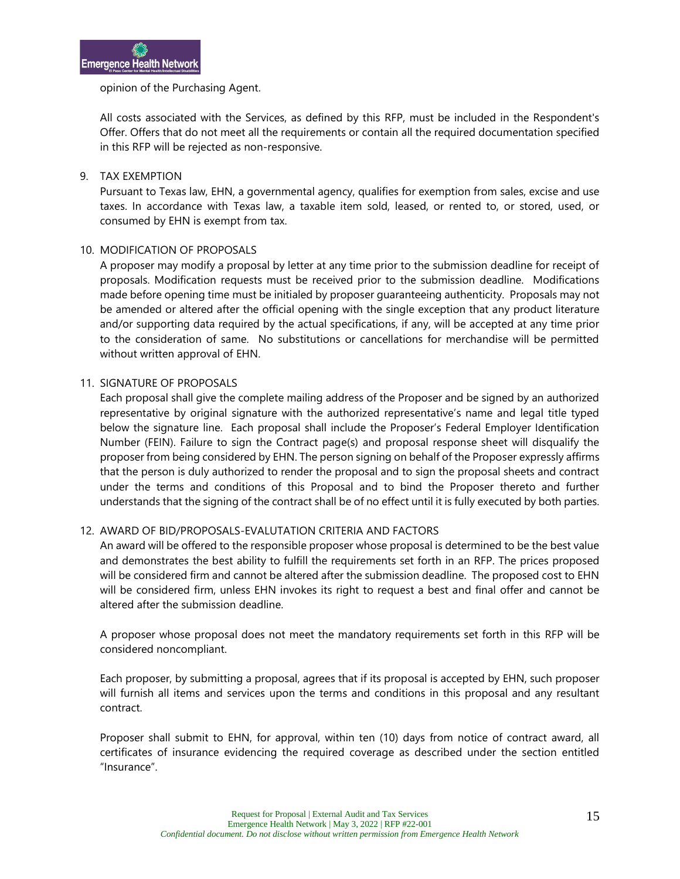#### opinion of the Purchasing Agent.

All costs associated with the Services, as defined by this RFP, must be included in the Respondent's Offer. Offers that do not meet all the requirements or contain all the required documentation specified in this RFP will be rejected as non-responsive.

#### 9. TAX EXEMPTION

Pursuant to Texas law, EHN, a governmental agency, qualifies for exemption from sales, excise and use taxes. In accordance with Texas law, a taxable item sold, leased, or rented to, or stored, used, or consumed by EHN is exempt from tax.

#### 10. MODIFICATION OF PROPOSALS

A proposer may modify a proposal by letter at any time prior to the submission deadline for receipt of proposals. Modification requests must be received prior to the submission deadline. Modifications made before opening time must be initialed by proposer guaranteeing authenticity. Proposals may not be amended or altered after the official opening with the single exception that any product literature and/or supporting data required by the actual specifications, if any, will be accepted at any time prior to the consideration of same. No substitutions or cancellations for merchandise will be permitted without written approval of EHN.

#### 11. SIGNATURE OF PROPOSALS

Each proposal shall give the complete mailing address of the Proposer and be signed by an authorized representative by original signature with the authorized representative's name and legal title typed below the signature line. Each proposal shall include the Proposer's Federal Employer Identification Number (FEIN). Failure to sign the Contract page(s) and proposal response sheet will disqualify the proposer from being considered by EHN. The person signing on behalf of the Proposer expressly affirms that the person is duly authorized to render the proposal and to sign the proposal sheets and contract under the terms and conditions of this Proposal and to bind the Proposer thereto and further understands that the signing of the contract shall be of no effect until it is fully executed by both parties.

#### 12. AWARD OF BID/PROPOSALS-EVALUTATION CRITERIA AND FACTORS

An award will be offered to the responsible proposer whose proposal is determined to be the best value and demonstrates the best ability to fulfill the requirements set forth in an RFP. The prices proposed will be considered firm and cannot be altered after the submission deadline. The proposed cost to EHN will be considered firm, unless EHN invokes its right to request a best and final offer and cannot be altered after the submission deadline.

A proposer whose proposal does not meet the mandatory requirements set forth in this RFP will be considered noncompliant.

Each proposer, by submitting a proposal, agrees that if its proposal is accepted by EHN, such proposer will furnish all items and services upon the terms and conditions in this proposal and any resultant contract.

Proposer shall submit to EHN, for approval, within ten (10) days from notice of contract award, all certificates of insurance evidencing the required coverage as described under the section entitled "Insurance".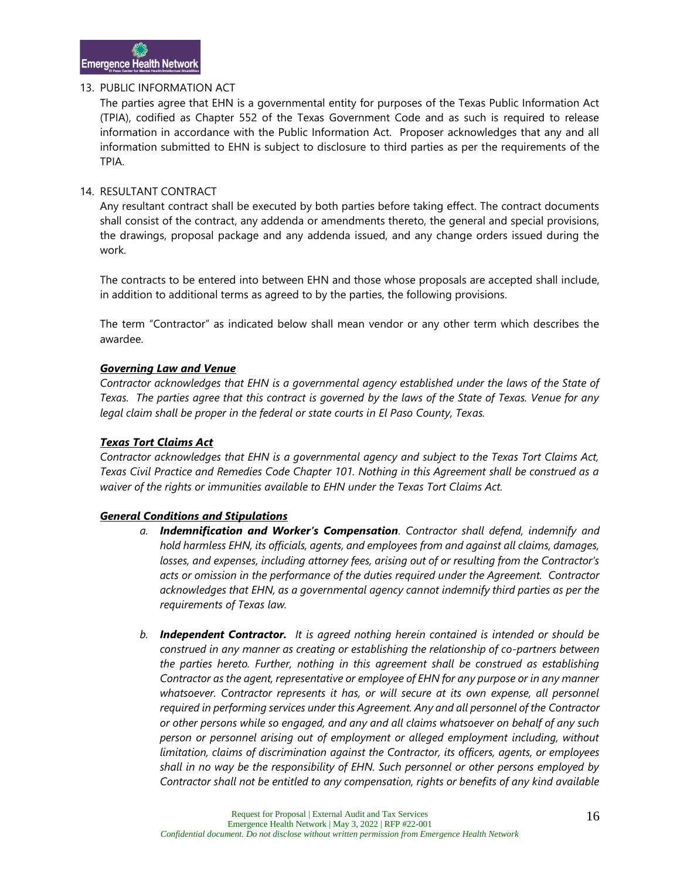#### 13. PUBLIC INFORMATION ACT

The parties agree that EHN is a governmental entity for purposes of the Texas Public Information Act (TPIA), codified as Chapter 552 of the Texas Government Code and as such is required to release information in accordance with the Public Information Act. Proposer acknowledges that any and all information submitted to EHN is subject to disclosure to third parties as per the requirements of the TPIA.

#### 14. RESULTANT CONTRACT

Any resultant contract shall be executed by both parties before taking effect. The contract documents shall consist of the contract, any addenda or amendments thereto, the general and special provisions, the drawings, proposal package and any addenda issued, and any change orders issued during the work.

The contracts to be entered into between EHN and those whose proposals are accepted shall include, in addition to additional terms as agreed to by the parties, the following provisions.

The term "Contractor" as indicated below shall mean vendor or any other term which describes the awardee.

#### *Governing Law and Venue*

*Contractor acknowledges that EHN is a governmental agency established under the laws of the State of Texas. The parties agree that this contract is governed by the laws of the State of Texas. Venue for any legal claim shall be proper in the federal or state courts in El Paso County, Texas.*

#### *Texas Tort Claims Act*

*Contractor acknowledges that EHN is a governmental agency and subject to the Texas Tort Claims Act, Texas Civil Practice and Remedies Code Chapter 101. Nothing in this Agreement shall be construed as a waiver of the rights or immunities available to EHN under the Texas Tort Claims Act.* 

#### *General Conditions and Stipulations*

- *a. Indemnification and Worker's Compensation. Contractor shall defend, indemnify and hold harmless EHN, its officials, agents, and employees from and against all claims, damages, losses, and expenses, including attorney fees, arising out of or resulting from the Contractor's acts or omission in the performance of the duties required under the Agreement. Contractor acknowledges that EHN, as a governmental agency cannot indemnify third parties as per the requirements of Texas law.*
- *b. Independent Contractor. It is agreed nothing herein contained is intended or should be construed in any manner as creating or establishing the relationship of co-partners between the parties hereto. Further, nothing in this agreement shall be construed as establishing Contractor as the agent, representative or employee of EHN for any purpose or in any manner*  whatsoever. Contractor represents it has, or will secure at its own expense, all personnel *required in performing services under this Agreement. Any and all personnel of the Contractor or other persons while so engaged, and any and all claims whatsoever on behalf of any such person or personnel arising out of employment or alleged employment including, without limitation, claims of discrimination against the Contractor, its officers, agents, or employees shall in no way be the responsibility of EHN. Such personnel or other persons employed by Contractor shall not be entitled to any compensation, rights or benefits of any kind available*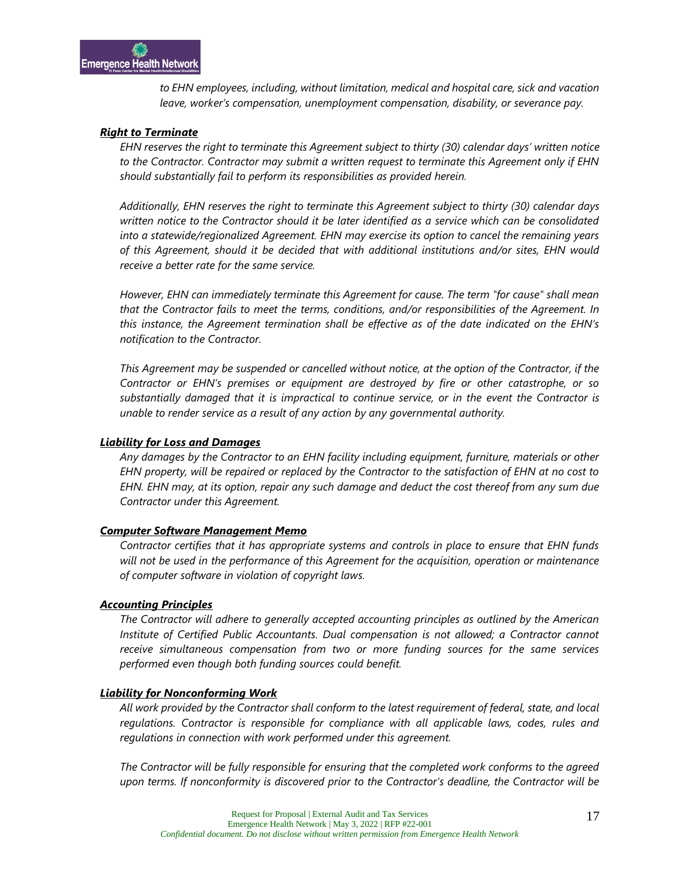*to EHN employees, including, without limitation, medical and hospital care, sick and vacation leave, worker's compensation, unemployment compensation, disability, or severance pay.* 

#### *Right to Terminate*

*EHN reserves the right to terminate this Agreement subject to thirty (30) calendar days' written notice to the Contractor. Contractor may submit a written request to terminate this Agreement only if EHN should substantially fail to perform its responsibilities as provided herein.*

*Additionally, EHN reserves the right to terminate this Agreement subject to thirty (30) calendar days written notice to the Contractor should it be later identified as a service which can be consolidated into a statewide/regionalized Agreement. EHN may exercise its option to cancel the remaining years of this Agreement, should it be decided that with additional institutions and/or sites, EHN would receive a better rate for the same service.*

*However, EHN can immediately terminate this Agreement for cause. The term "for cause" shall mean that the Contractor fails to meet the terms, conditions, and/or responsibilities of the Agreement. In this instance, the Agreement termination shall be effective as of the date indicated on the EHN's notification to the Contractor.*

*This Agreement may be suspended or cancelled without notice, at the option of the Contractor, if the Contractor or EHN's premises or equipment are destroyed by fire or other catastrophe, or so substantially damaged that it is impractical to continue service, or in the event the Contractor is unable to render service as a result of any action by any governmental authority.*

#### *Liability for Loss and Damages*

*Any damages by the Contractor to an EHN facility including equipment, furniture, materials or other EHN property, will be repaired or replaced by the Contractor to the satisfaction of EHN at no cost to EHN. EHN may, at its option, repair any such damage and deduct the cost thereof from any sum due Contractor under this Agreement.*

#### *Computer Software Management Memo*

*Contractor certifies that it has appropriate systems and controls in place to ensure that EHN funds will not be used in the performance of this Agreement for the acquisition, operation or maintenance of computer software in violation of copyright laws.*

#### *Accounting Principles*

*The Contractor will adhere to generally accepted accounting principles as outlined by the American Institute of Certified Public Accountants. Dual compensation is not allowed; a Contractor cannot receive simultaneous compensation from two or more funding sources for the same services performed even though both funding sources could benefit.*

#### *Liability for Nonconforming Work*

*All work provided by the Contractor shall conform to the latest requirement of federal, state, and local regulations. Contractor is responsible for compliance with all applicable laws, codes, rules and regulations in connection with work performed under this agreement.*

*The Contractor will be fully responsible for ensuring that the completed work conforms to the agreed upon terms. If nonconformity is discovered prior to the Contractor's deadline, the Contractor will be*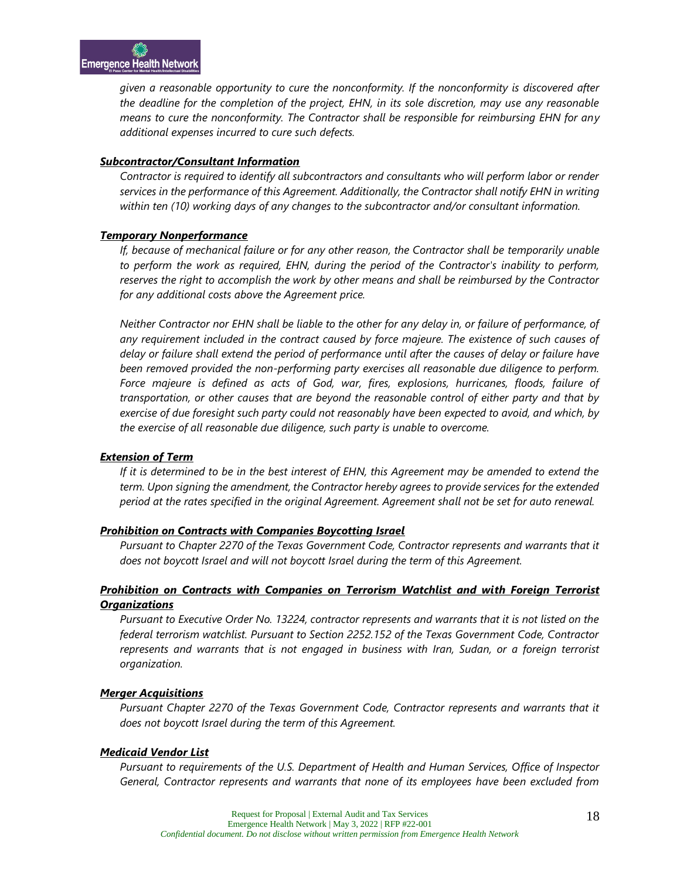*given a reasonable opportunity to cure the nonconformity. If the nonconformity is discovered after the deadline for the completion of the project, EHN, in its sole discretion, may use any reasonable means to cure the nonconformity. The Contractor shall be responsible for reimbursing EHN for any additional expenses incurred to cure such defects.*

#### *Subcontractor/Consultant Information*

*Contractor is required to identify all subcontractors and consultants who will perform labor or render services in the performance of this Agreement. Additionally, the Contractor shall notify EHN in writing within ten (10) working days of any changes to the subcontractor and/or consultant information.*

#### *Temporary Nonperformance*

*If, because of mechanical failure or for any other reason, the Contractor shall be temporarily unable to perform the work as required, EHN, during the period of the Contractor's inability to perform, reserves the right to accomplish the work by other means and shall be reimbursed by the Contractor for any additional costs above the Agreement price.*

*Neither Contractor nor EHN shall be liable to the other for any delay in, or failure of performance, of any requirement included in the contract caused by force majeure. The existence of such causes of delay or failure shall extend the period of performance until after the causes of delay or failure have been removed provided the non-performing party exercises all reasonable due diligence to perform. Force majeure is defined as acts of God, war, fires, explosions, hurricanes, floods, failure of transportation, or other causes that are beyond the reasonable control of either party and that by exercise of due foresight such party could not reasonably have been expected to avoid, and which, by the exercise of all reasonable due diligence, such party is unable to overcome.*

#### *Extension of Term*

*If it is determined to be in the best interest of EHN, this Agreement may be amended to extend the term. Upon signing the amendment, the Contractor hereby agrees to provide services for the extended period at the rates specified in the original Agreement. Agreement shall not be set for auto renewal.*

#### *Prohibition on Contracts with Companies Boycotting Israel*

Pursuant to Chapter 2270 of the Texas Government Code, Contractor represents and warrants that it *does not boycott Israel and will not boycott Israel during the term of this Agreement.* 

#### *Prohibition on Contracts with Companies on Terrorism Watchlist and with Foreign Terrorist Organizations*

*Pursuant to Executive Order No. 13224, contractor represents and warrants that it is not listed on the federal terrorism watchlist. Pursuant to Section 2252.152 of the Texas Government Code, Contractor represents and warrants that is not engaged in business with Iran, Sudan, or a foreign terrorist organization.*

#### *Merger Acquisitions*

*Pursuant Chapter 2270 of the Texas Government Code, Contractor represents and warrants that it does not boycott Israel during the term of this Agreement.* 

#### *Medicaid Vendor List*

*Pursuant to requirements of the U.S. Department of Health and Human Services, Office of Inspector General, Contractor represents and warrants that none of its employees have been excluded from*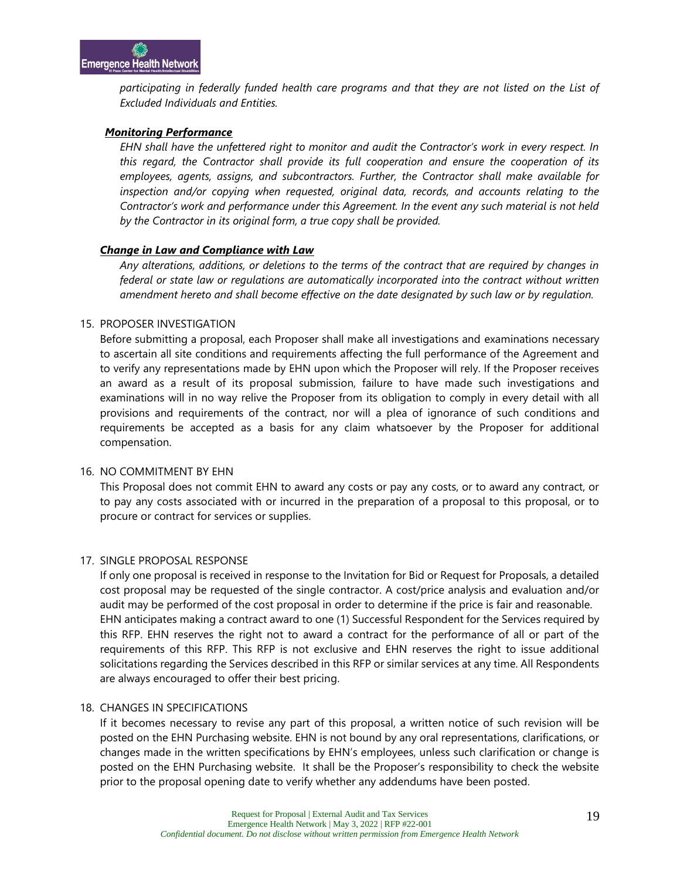*participating in federally funded health care programs and that they are not listed on the List of Excluded Individuals and Entities.* 

#### *Monitoring Performance*

*EHN shall have the unfettered right to monitor and audit the Contractor's work in every respect. In this regard, the Contractor shall provide its full cooperation and ensure the cooperation of its employees, agents, assigns, and subcontractors. Further, the Contractor shall make available for inspection and/or copying when requested, original data, records, and accounts relating to the Contractor's work and performance under this Agreement. In the event any such material is not held by the Contractor in its original form, a true copy shall be provided.* 

#### *Change in Law and Compliance with Law*

*Any alterations, additions, or deletions to the terms of the contract that are required by changes in federal or state law or regulations are automatically incorporated into the contract without written amendment hereto and shall become effective on the date designated by such law or by regulation.*

#### 15. PROPOSER INVESTIGATION

Before submitting a proposal, each Proposer shall make all investigations and examinations necessary to ascertain all site conditions and requirements affecting the full performance of the Agreement and to verify any representations made by EHN upon which the Proposer will rely. If the Proposer receives an award as a result of its proposal submission, failure to have made such investigations and examinations will in no way relive the Proposer from its obligation to comply in every detail with all provisions and requirements of the contract, nor will a plea of ignorance of such conditions and requirements be accepted as a basis for any claim whatsoever by the Proposer for additional compensation.

#### 16. NO COMMITMENT BY EHN

This Proposal does not commit EHN to award any costs or pay any costs, or to award any contract, or to pay any costs associated with or incurred in the preparation of a proposal to this proposal, or to procure or contract for services or supplies.

#### 17. SINGLE PROPOSAL RESPONSE

If only one proposal is received in response to the Invitation for Bid or Request for Proposals, a detailed cost proposal may be requested of the single contractor. A cost/price analysis and evaluation and/or audit may be performed of the cost proposal in order to determine if the price is fair and reasonable. EHN anticipates making a contract award to one (1) Successful Respondent for the Services required by this RFP. EHN reserves the right not to award a contract for the performance of all or part of the requirements of this RFP. This RFP is not exclusive and EHN reserves the right to issue additional solicitations regarding the Services described in this RFP or similar services at any time. All Respondents are always encouraged to offer their best pricing.

#### 18. CHANGES IN SPECIFICATIONS

If it becomes necessary to revise any part of this proposal, a written notice of such revision will be posted on the EHN Purchasing website. EHN is not bound by any oral representations, clarifications, or changes made in the written specifications by EHN's employees, unless such clarification or change is posted on the EHN Purchasing website. It shall be the Proposer's responsibility to check the website prior to the proposal opening date to verify whether any addendums have been posted.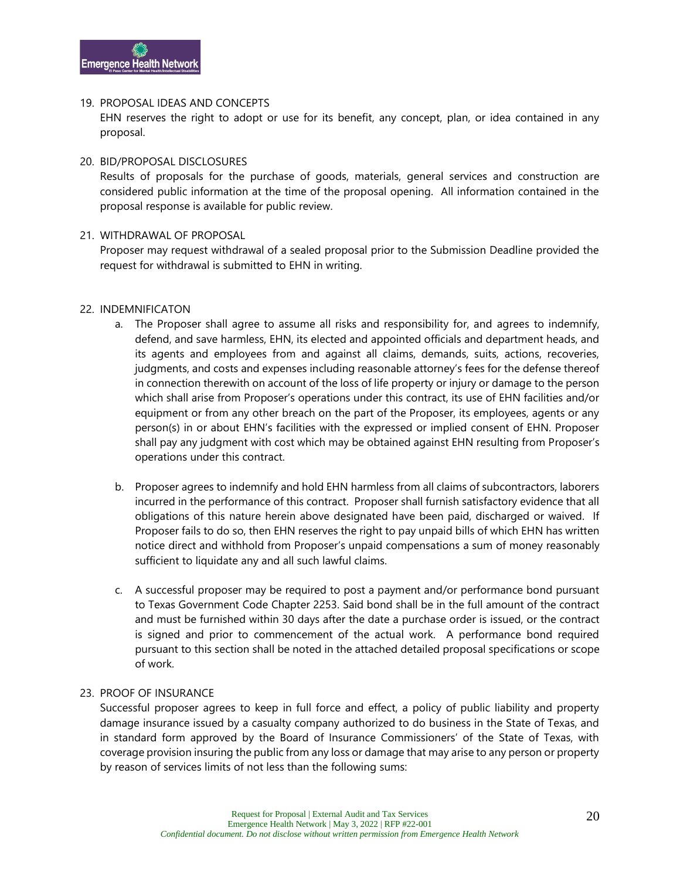#### 19. PROPOSAL IDEAS AND CONCEPTS

EHN reserves the right to adopt or use for its benefit, any concept, plan, or idea contained in any proposal.

#### 20. BID/PROPOSAL DISCLOSURES

Results of proposals for the purchase of goods, materials, general services and construction are considered public information at the time of the proposal opening. All information contained in the proposal response is available for public review.

#### 21. WITHDRAWAL OF PROPOSAL

Proposer may request withdrawal of a sealed proposal prior to the Submission Deadline provided the request for withdrawal is submitted to EHN in writing.

#### 22. INDEMNIFICATON

- a. The Proposer shall agree to assume all risks and responsibility for, and agrees to indemnify, defend, and save harmless, EHN, its elected and appointed officials and department heads, and its agents and employees from and against all claims, demands, suits, actions, recoveries, judgments, and costs and expenses including reasonable attorney's fees for the defense thereof in connection therewith on account of the loss of life property or injury or damage to the person which shall arise from Proposer's operations under this contract, its use of EHN facilities and/or equipment or from any other breach on the part of the Proposer, its employees, agents or any person(s) in or about EHN's facilities with the expressed or implied consent of EHN. Proposer shall pay any judgment with cost which may be obtained against EHN resulting from Proposer's operations under this contract.
- b. Proposer agrees to indemnify and hold EHN harmless from all claims of subcontractors, laborers incurred in the performance of this contract. Proposer shall furnish satisfactory evidence that all obligations of this nature herein above designated have been paid, discharged or waived. If Proposer fails to do so, then EHN reserves the right to pay unpaid bills of which EHN has written notice direct and withhold from Proposer's unpaid compensations a sum of money reasonably sufficient to liquidate any and all such lawful claims.
- c. A successful proposer may be required to post a payment and/or performance bond pursuant to Texas Government Code Chapter 2253. Said bond shall be in the full amount of the contract and must be furnished within 30 days after the date a purchase order is issued, or the contract is signed and prior to commencement of the actual work. A performance bond required pursuant to this section shall be noted in the attached detailed proposal specifications or scope of work.

#### 23. PROOF OF INSURANCE

Successful proposer agrees to keep in full force and effect, a policy of public liability and property damage insurance issued by a casualty company authorized to do business in the State of Texas, and in standard form approved by the Board of Insurance Commissioners' of the State of Texas, with coverage provision insuring the public from any loss or damage that may arise to any person or property by reason of services limits of not less than the following sums: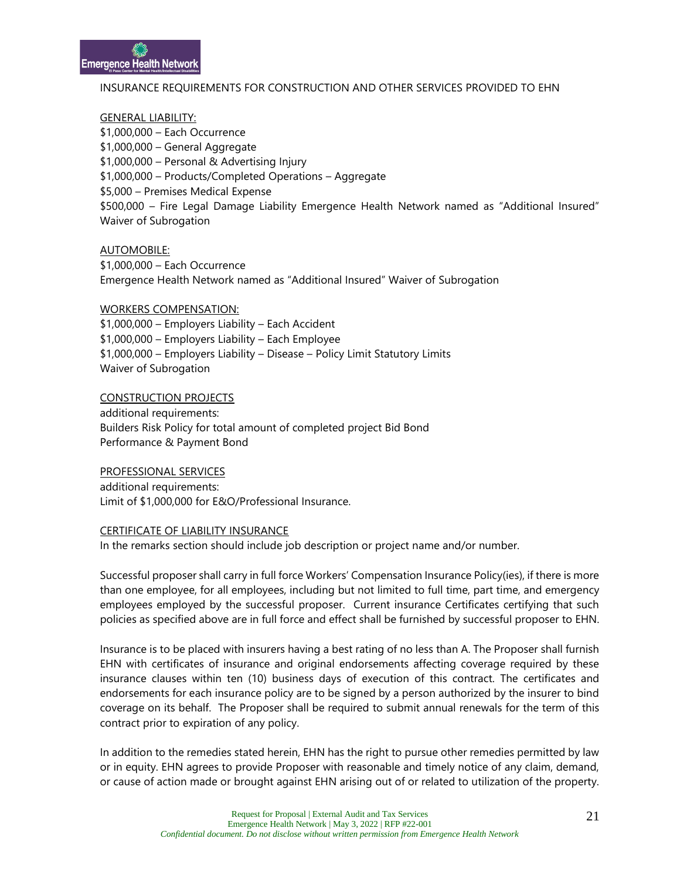#### INSURANCE REQUIREMENTS FOR CONSTRUCTION AND OTHER SERVICES PROVIDED TO EHN

#### GENERAL LIABILITY:

\$1,000,000 – Each Occurrence \$1,000,000 – General Aggregate \$1,000,000 – Personal & Advertising Injury \$1,000,000 – Products/Completed Operations – Aggregate \$5,000 – Premises Medical Expense \$500,000 – Fire Legal Damage Liability Emergence Health Network named as "Additional Insured" Waiver of Subrogation

AUTOMOBILE:

\$1,000,000 – Each Occurrence Emergence Health Network named as "Additional Insured" Waiver of Subrogation

#### WORKERS COMPENSATION:

\$1,000,000 – Employers Liability – Each Accident \$1,000,000 – Employers Liability – Each Employee \$1,000,000 – Employers Liability – Disease – Policy Limit Statutory Limits Waiver of Subrogation

#### CONSTRUCTION PROJECTS

additional requirements: Builders Risk Policy for total amount of completed project Bid Bond Performance & Payment Bond

PROFESSIONAL SERVICES

additional requirements: Limit of \$1,000,000 for E&O/Professional Insurance.

#### CERTIFICATE OF LIABILITY INSURANCE

In the remarks section should include job description or project name and/or number.

Successful proposer shall carry in full force Workers' Compensation Insurance Policy(ies), if there is more than one employee, for all employees, including but not limited to full time, part time, and emergency employees employed by the successful proposer. Current insurance Certificates certifying that such policies as specified above are in full force and effect shall be furnished by successful proposer to EHN.

Insurance is to be placed with insurers having a best rating of no less than A. The Proposer shall furnish EHN with certificates of insurance and original endorsements affecting coverage required by these insurance clauses within ten (10) business days of execution of this contract. The certificates and endorsements for each insurance policy are to be signed by a person authorized by the insurer to bind coverage on its behalf. The Proposer shall be required to submit annual renewals for the term of this contract prior to expiration of any policy.

In addition to the remedies stated herein, EHN has the right to pursue other remedies permitted by law or in equity. EHN agrees to provide Proposer with reasonable and timely notice of any claim, demand, or cause of action made or brought against EHN arising out of or related to utilization of the property.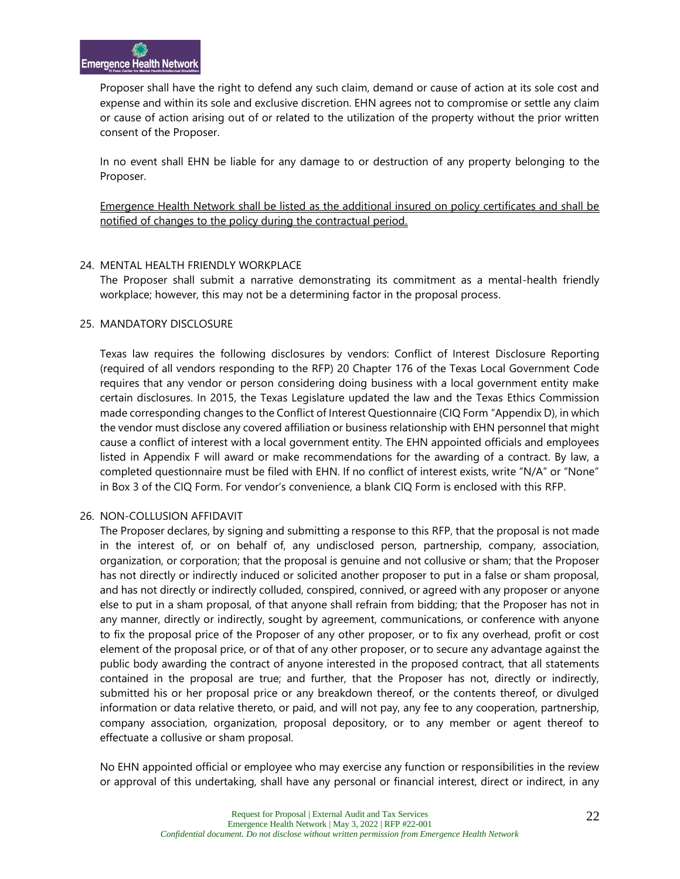Proposer shall have the right to defend any such claim, demand or cause of action at its sole cost and expense and within its sole and exclusive discretion. EHN agrees not to compromise or settle any claim or cause of action arising out of or related to the utilization of the property without the prior written consent of the Proposer.

In no event shall EHN be liable for any damage to or destruction of any property belonging to the Proposer.

Emergence Health Network shall be listed as the additional insured on policy certificates and shall be notified of changes to the policy during the contractual period.

#### 24. MENTAL HEALTH FRIENDLY WORKPLACE

The Proposer shall submit a narrative demonstrating its commitment as a mental-health friendly workplace; however, this may not be a determining factor in the proposal process.

#### 25. MANDATORY DISCLOSURE

Texas law requires the following disclosures by vendors: Conflict of Interest Disclosure Reporting (required of all vendors responding to the RFP) 20 Chapter 176 of the Texas Local Government Code requires that any vendor or person considering doing business with a local government entity make certain disclosures. In 2015, the Texas Legislature updated the law and the Texas Ethics Commission made corresponding changes to the Conflict of Interest Questionnaire (CIQ Form "Appendix D), in which the vendor must disclose any covered affiliation or business relationship with EHN personnel that might cause a conflict of interest with a local government entity. The EHN appointed officials and employees listed in Appendix F will award or make recommendations for the awarding of a contract. By law, a completed questionnaire must be filed with EHN. If no conflict of interest exists, write "N/A" or "None" in Box 3 of the CIQ Form. For vendor's convenience, a blank CIQ Form is enclosed with this RFP.

#### 26. NON-COLLUSION AFFIDAVIT

The Proposer declares, by signing and submitting a response to this RFP, that the proposal is not made in the interest of, or on behalf of, any undisclosed person, partnership, company, association, organization, or corporation; that the proposal is genuine and not collusive or sham; that the Proposer has not directly or indirectly induced or solicited another proposer to put in a false or sham proposal, and has not directly or indirectly colluded, conspired, connived, or agreed with any proposer or anyone else to put in a sham proposal, of that anyone shall refrain from bidding; that the Proposer has not in any manner, directly or indirectly, sought by agreement, communications, or conference with anyone to fix the proposal price of the Proposer of any other proposer, or to fix any overhead, profit or cost element of the proposal price, or of that of any other proposer, or to secure any advantage against the public body awarding the contract of anyone interested in the proposed contract, that all statements contained in the proposal are true; and further, that the Proposer has not, directly or indirectly, submitted his or her proposal price or any breakdown thereof, or the contents thereof, or divulged information or data relative thereto, or paid, and will not pay, any fee to any cooperation, partnership, company association, organization, proposal depository, or to any member or agent thereof to effectuate a collusive or sham proposal.

No EHN appointed official or employee who may exercise any function or responsibilities in the review or approval of this undertaking, shall have any personal or financial interest, direct or indirect, in any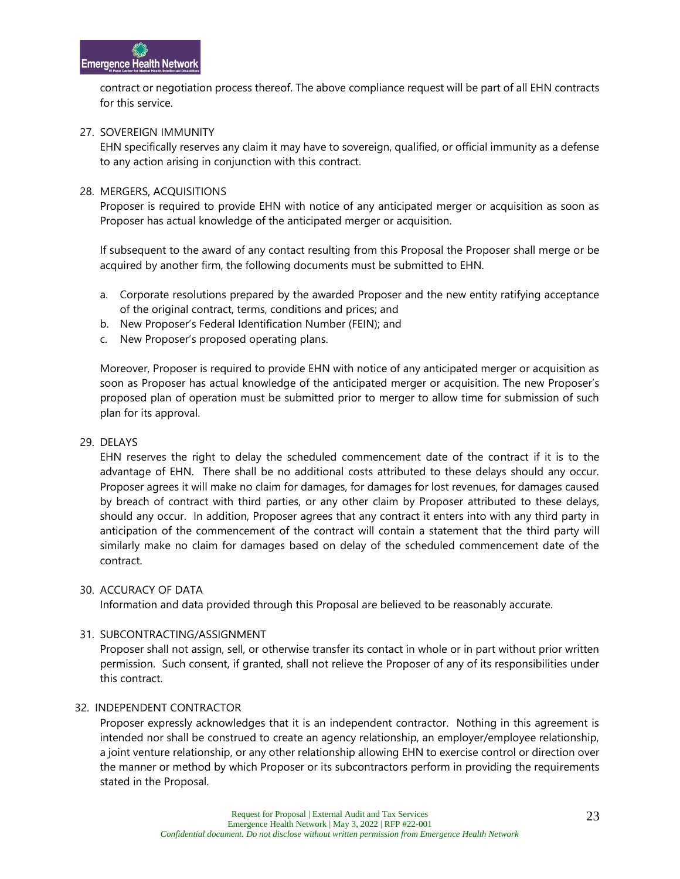contract or negotiation process thereof. The above compliance request will be part of all EHN contracts for this service.

#### 27. SOVEREIGN IMMUNITY

EHN specifically reserves any claim it may have to sovereign, qualified, or official immunity as a defense to any action arising in conjunction with this contract.

#### 28. MERGERS, ACQUISITIONS

Proposer is required to provide EHN with notice of any anticipated merger or acquisition as soon as Proposer has actual knowledge of the anticipated merger or acquisition.

If subsequent to the award of any contact resulting from this Proposal the Proposer shall merge or be acquired by another firm, the following documents must be submitted to EHN.

- a. Corporate resolutions prepared by the awarded Proposer and the new entity ratifying acceptance of the original contract, terms, conditions and prices; and
- b. New Proposer's Federal Identification Number (FEIN); and
- c. New Proposer's proposed operating plans.

Moreover, Proposer is required to provide EHN with notice of any anticipated merger or acquisition as soon as Proposer has actual knowledge of the anticipated merger or acquisition. The new Proposer's proposed plan of operation must be submitted prior to merger to allow time for submission of such plan for its approval.

#### 29. DELAYS

EHN reserves the right to delay the scheduled commencement date of the contract if it is to the advantage of EHN. There shall be no additional costs attributed to these delays should any occur. Proposer agrees it will make no claim for damages, for damages for lost revenues, for damages caused by breach of contract with third parties, or any other claim by Proposer attributed to these delays, should any occur. In addition, Proposer agrees that any contract it enters into with any third party in anticipation of the commencement of the contract will contain a statement that the third party will similarly make no claim for damages based on delay of the scheduled commencement date of the contract.

#### 30. ACCURACY OF DATA

Information and data provided through this Proposal are believed to be reasonably accurate.

#### 31. SUBCONTRACTING/ASSIGNMENT

Proposer shall not assign, sell, or otherwise transfer its contact in whole or in part without prior written permission. Such consent, if granted, shall not relieve the Proposer of any of its responsibilities under this contract.

#### 32. INDEPENDENT CONTRACTOR

Proposer expressly acknowledges that it is an independent contractor. Nothing in this agreement is intended nor shall be construed to create an agency relationship, an employer/employee relationship, a joint venture relationship, or any other relationship allowing EHN to exercise control or direction over the manner or method by which Proposer or its subcontractors perform in providing the requirements stated in the Proposal.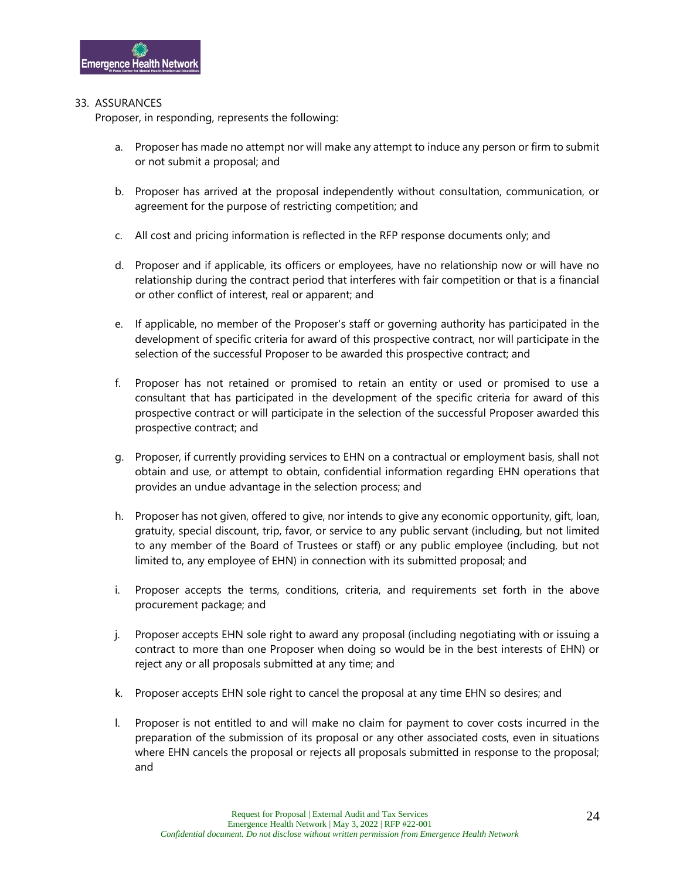#### 33. ASSURANCES

Proposer, in responding, represents the following:

- a. Proposer has made no attempt nor will make any attempt to induce any person or firm to submit or not submit a proposal; and
- b. Proposer has arrived at the proposal independently without consultation, communication, or agreement for the purpose of restricting competition; and
- c. All cost and pricing information is reflected in the RFP response documents only; and
- d. Proposer and if applicable, its officers or employees, have no relationship now or will have no relationship during the contract period that interferes with fair competition or that is a financial or other conflict of interest, real or apparent; and
- e. If applicable, no member of the Proposer's staff or governing authority has participated in the development of specific criteria for award of this prospective contract, nor will participate in the selection of the successful Proposer to be awarded this prospective contract; and
- f. Proposer has not retained or promised to retain an entity or used or promised to use a consultant that has participated in the development of the specific criteria for award of this prospective contract or will participate in the selection of the successful Proposer awarded this prospective contract; and
- g. Proposer, if currently providing services to EHN on a contractual or employment basis, shall not obtain and use, or attempt to obtain, confidential information regarding EHN operations that provides an undue advantage in the selection process; and
- h. Proposer has not given, offered to give, nor intends to give any economic opportunity, gift, loan, gratuity, special discount, trip, favor, or service to any public servant (including, but not limited to any member of the Board of Trustees or staff) or any public employee (including, but not limited to, any employee of EHN) in connection with its submitted proposal; and
- i. Proposer accepts the terms, conditions, criteria, and requirements set forth in the above procurement package; and
- j. Proposer accepts EHN sole right to award any proposal (including negotiating with or issuing a contract to more than one Proposer when doing so would be in the best interests of EHN) or reject any or all proposals submitted at any time; and
- k. Proposer accepts EHN sole right to cancel the proposal at any time EHN so desires; and
- l. Proposer is not entitled to and will make no claim for payment to cover costs incurred in the preparation of the submission of its proposal or any other associated costs, even in situations where EHN cancels the proposal or rejects all proposals submitted in response to the proposal; and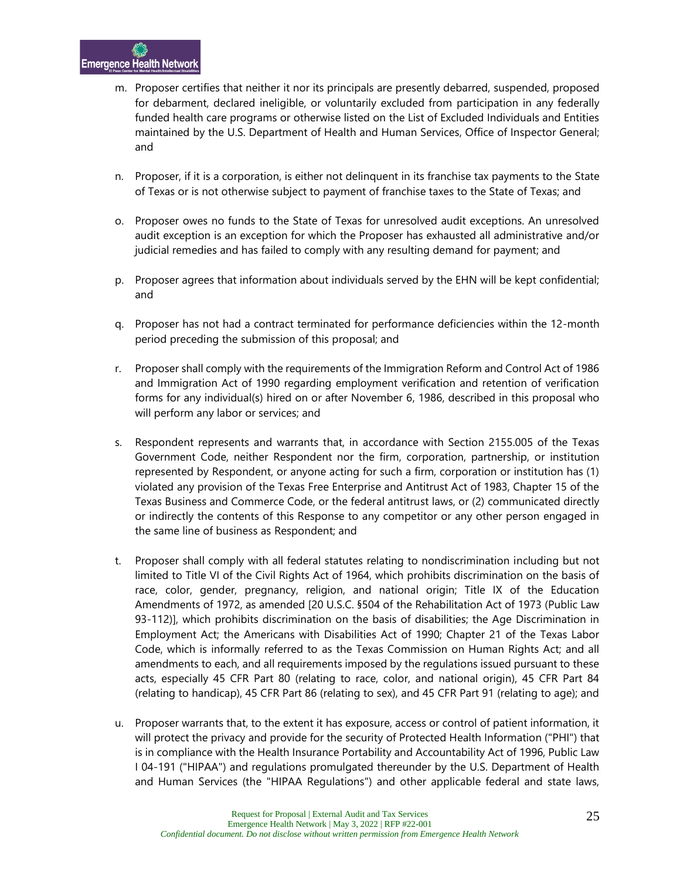- m. Proposer certifies that neither it nor its principals are presently debarred, suspended, proposed for debarment, declared ineligible, or voluntarily excluded from participation in any federally funded health care programs or otherwise listed on the List of Excluded Individuals and Entities maintained by the U.S. Department of Health and Human Services, Office of Inspector General; and
- n. Proposer, if it is a corporation, is either not delinquent in its franchise tax payments to the State of Texas or is not otherwise subject to payment of franchise taxes to the State of Texas; and
- o. Proposer owes no funds to the State of Texas for unresolved audit exceptions. An unresolved audit exception is an exception for which the Proposer has exhausted all administrative and/or judicial remedies and has failed to comply with any resulting demand for payment; and
- p. Proposer agrees that information about individuals served by the EHN will be kept confidential; and
- q. Proposer has not had a contract terminated for performance deficiencies within the 12-month period preceding the submission of this proposal; and
- r. Proposer shall comply with the requirements of the Immigration Reform and Control Act of 1986 and Immigration Act of 1990 regarding employment verification and retention of verification forms for any individual(s) hired on or after November 6, 1986, described in this proposal who will perform any labor or services; and
- s. Respondent represents and warrants that, in accordance with Section 2155.005 of the Texas Government Code, neither Respondent nor the firm, corporation, partnership, or institution represented by Respondent, or anyone acting for such a firm, corporation or institution has (1) violated any provision of the Texas Free Enterprise and Antitrust Act of 1983, Chapter 15 of the Texas Business and Commerce Code, or the federal antitrust laws, or (2) communicated directly or indirectly the contents of this Response to any competitor or any other person engaged in the same line of business as Respondent; and
- t. Proposer shall comply with all federal statutes relating to nondiscrimination including but not limited to Title VI of the Civil Rights Act of 1964, which prohibits discrimination on the basis of race, color, gender, pregnancy, religion, and national origin; Title IX of the Education Amendments of 1972, as amended [20 U.S.C. §504 of the Rehabilitation Act of 1973 (Public Law 93-112)], which prohibits discrimination on the basis of disabilities; the Age Discrimination in Employment Act; the Americans with Disabilities Act of 1990; Chapter 21 of the Texas Labor Code, which is informally referred to as the Texas Commission on Human Rights Act; and all amendments to each, and all requirements imposed by the regulations issued pursuant to these acts, especially 45 CFR Part 80 (relating to race, color, and national origin), 45 CFR Part 84 (relating to handicap), 45 CFR Part 86 (relating to sex), and 45 CFR Part 91 (relating to age); and
- u. Proposer warrants that, to the extent it has exposure, access or control of patient information, it will protect the privacy and provide for the security of Protected Health Information ("PHI") that is in compliance with the Health Insurance Portability and Accountability Act of 1996, Public Law I 04-191 ("HIPAA") and regulations promulgated thereunder by the U.S. Department of Health and Human Services (the "HIPAA Regulations") and other applicable federal and state laws,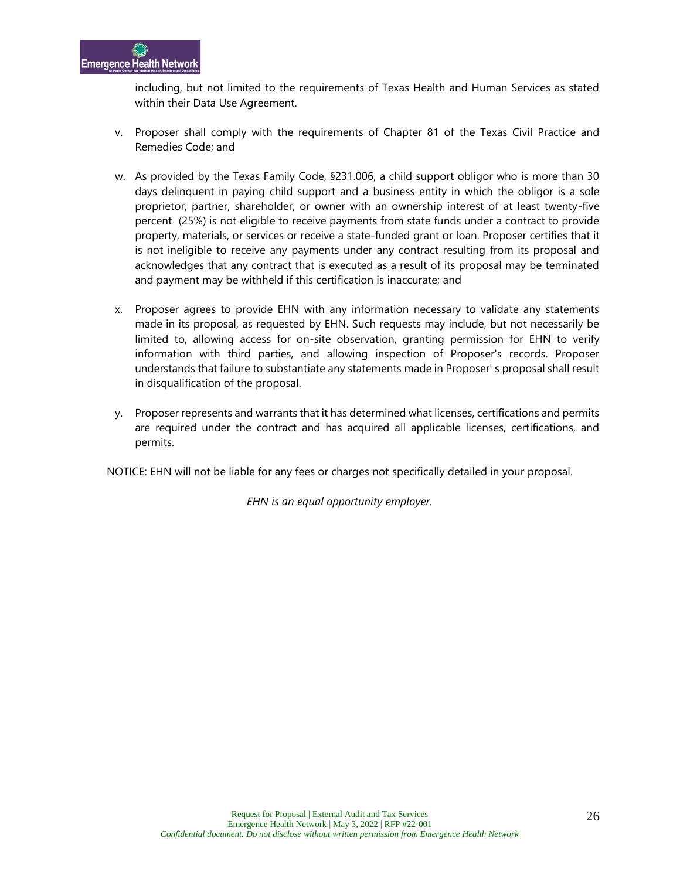including, but not limited to the requirements of Texas Health and Human Services as stated within their Data Use Agreement.

- v. Proposer shall comply with the requirements of Chapter 81 of the Texas Civil Practice and Remedies Code; and
- w. As provided by the Texas Family Code, §231.006, a child support obligor who is more than 30 days delinquent in paying child support and a business entity in which the obligor is a sole proprietor, partner, shareholder, or owner with an ownership interest of at least twenty-five percent (25%) is not eligible to receive payments from state funds under a contract to provide property, materials, or services or receive a state-funded grant or loan. Proposer certifies that it is not ineligible to receive any payments under any contract resulting from its proposal and acknowledges that any contract that is executed as a result of its proposal may be terminated and payment may be withheld if this certification is inaccurate; and
- x. Proposer agrees to provide EHN with any information necessary to validate any statements made in its proposal, as requested by EHN. Such requests may include, but not necessarily be limited to, allowing access for on-site observation, granting permission for EHN to verify information with third parties, and allowing inspection of Proposer's records. Proposer understands that failure to substantiate any statements made in Proposer' s proposal shall result in disqualification of the proposal.
- y. Proposer represents and warrants that it has determined what licenses, certifications and permits are required under the contract and has acquired all applicable licenses, certifications, and permits.

NOTICE: EHN will not be liable for any fees or charges not specifically detailed in your proposal.

*EHN is an equal opportunity employer.*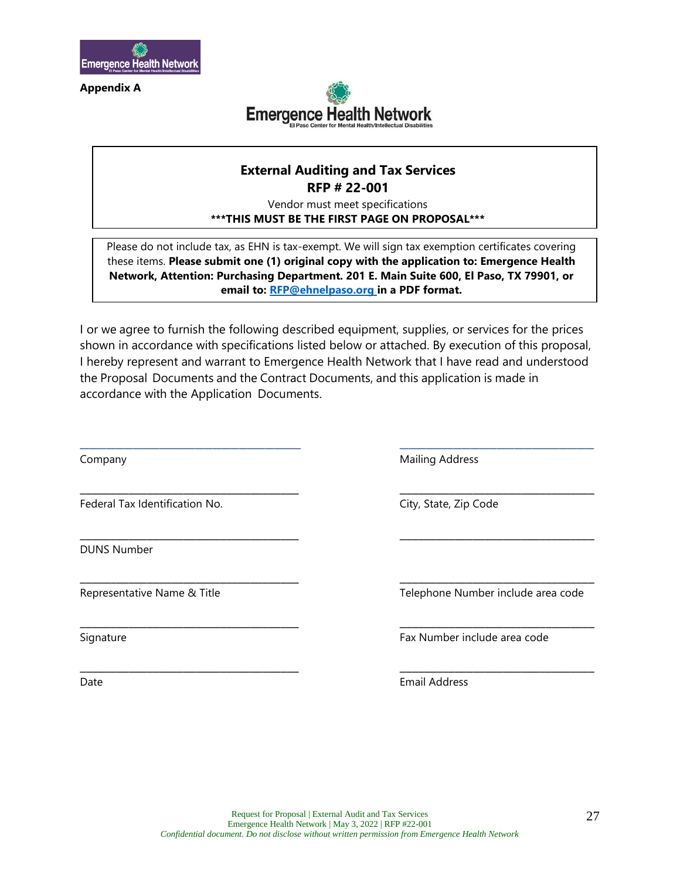

**Appendix A**



#### **External Auditing and Tax Services RFP # 22-001**

Vendor must meet specifications **\*\*\*THIS MUST BE THE FIRST PAGE ON PROPOSAL\*\*\***

Please do not include tax, as EHN is tax-exempt. We will sign tax exemption certificates covering these items. **Please submit one (1) original copy with the application to: Emergence Health Network, Attention: Purchasing Department. 201 E. Main Suite 600, El Paso, TX 79901, or email to: [RFP@ehnelpaso.org i](mailto:RFP@ehnelpaso.org)n a PDF format.** 

I or we agree to furnish the following described equipment, supplies, or services for the prices shown in accordance with specifications listed below or attached. By execution of this proposal, I hereby represent and warrant to Emergence Health Network that I have read and understood the Proposal Documents and the Contract Documents, and this application is made in accordance with the Application Documents.

\_\_\_\_\_\_\_\_\_\_\_\_\_\_\_\_\_\_\_\_\_\_\_\_\_ \_\_\_\_\_\_\_\_\_\_\_\_\_\_\_\_\_\_\_\_\_\_

\_\_\_\_\_\_\_\_\_\_\_\_\_\_\_\_\_\_\_\_\_\_\_\_\_\_\_\_\_\_\_\_\_\_\_\_ \_\_\_\_\_\_\_\_\_\_\_\_\_\_\_\_\_\_\_\_\_\_\_\_\_\_\_\_\_\_\_\_

\_\_\_\_\_\_\_\_\_\_\_\_\_\_\_\_\_\_\_\_\_\_\_\_\_\_\_\_\_\_\_\_\_\_\_\_ \_\_\_\_\_\_\_\_\_\_\_\_\_\_\_\_\_\_\_\_\_\_\_\_\_\_\_\_\_\_\_\_

\_\_\_\_\_\_\_\_\_\_\_\_\_\_\_\_\_\_\_\_\_\_\_\_\_\_\_\_\_\_\_\_\_\_\_\_ \_\_\_\_\_\_\_\_\_\_\_\_\_\_\_\_\_\_\_\_\_\_\_\_\_\_\_\_\_\_\_\_

\_\_\_\_\_\_\_\_\_\_\_\_\_\_\_\_\_\_\_\_\_\_\_\_\_\_\_\_\_\_\_\_\_\_\_\_ \_\_\_\_\_\_\_\_\_\_\_\_\_\_\_\_\_\_\_\_\_\_\_\_\_\_\_\_\_\_\_\_

\_\_\_\_\_\_\_\_\_\_\_\_\_\_\_\_\_\_\_\_\_\_\_\_\_\_\_\_\_\_\_\_\_\_\_\_ \_\_\_\_\_\_\_\_\_\_\_\_\_\_\_\_\_\_\_\_\_\_\_\_\_\_\_\_\_\_\_\_

Federal Tax Identification No. City, State, Zip Code

DUNS Number

Company **Mailing Address** 

Representative Name & Title Telephone Number include area code

Signature Fax Number include area code

Date **Email Address**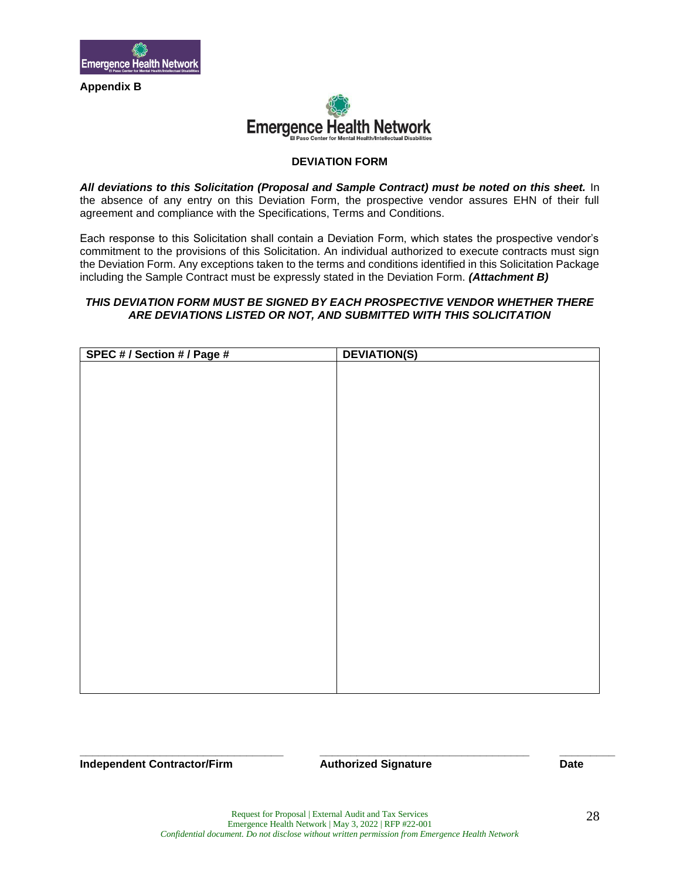

**Appendix B**



#### **DEVIATION FORM**

*All deviations to this Solicitation (Proposal and Sample Contract) must be noted on this sheet.* In the absence of any entry on this Deviation Form, the prospective vendor assures EHN of their full agreement and compliance with the Specifications, Terms and Conditions.

Each response to this Solicitation shall contain a Deviation Form, which states the prospective vendor's commitment to the provisions of this Solicitation. An individual authorized to execute contracts must sign the Deviation Form. Any exceptions taken to the terms and conditions identified in this Solicitation Package including the Sample Contract must be expressly stated in the Deviation Form. *(Attachment B)*

#### *THIS DEVIATION FORM MUST BE SIGNED BY EACH PROSPECTIVE VENDOR WHETHER THERE ARE DEVIATIONS LISTED OR NOT, AND SUBMITTED WITH THIS SOLICITATION*

| SPEC # / Section # / Page # | <b>DEVIATION(S)</b> |
|-----------------------------|---------------------|
|                             |                     |
|                             |                     |
|                             |                     |
|                             |                     |
|                             |                     |
|                             |                     |
|                             |                     |
|                             |                     |
|                             |                     |
|                             |                     |
|                             |                     |
|                             |                     |
|                             |                     |
|                             |                     |
|                             |                     |
|                             |                     |
|                             |                     |
|                             |                     |
|                             |                     |
|                             |                     |
|                             |                     |
|                             |                     |
|                             |                     |
|                             |                     |

**Independent Contractor/Firm Authorized Signature Date**

**\_\_\_\_\_\_\_\_\_\_\_\_\_\_\_\_\_\_\_\_\_\_\_\_\_\_\_\_\_\_\_\_\_ \_\_\_\_\_\_\_\_\_\_\_\_\_\_\_\_\_\_\_\_\_\_\_\_\_\_\_\_\_\_\_\_\_\_ \_\_\_\_\_\_\_\_\_**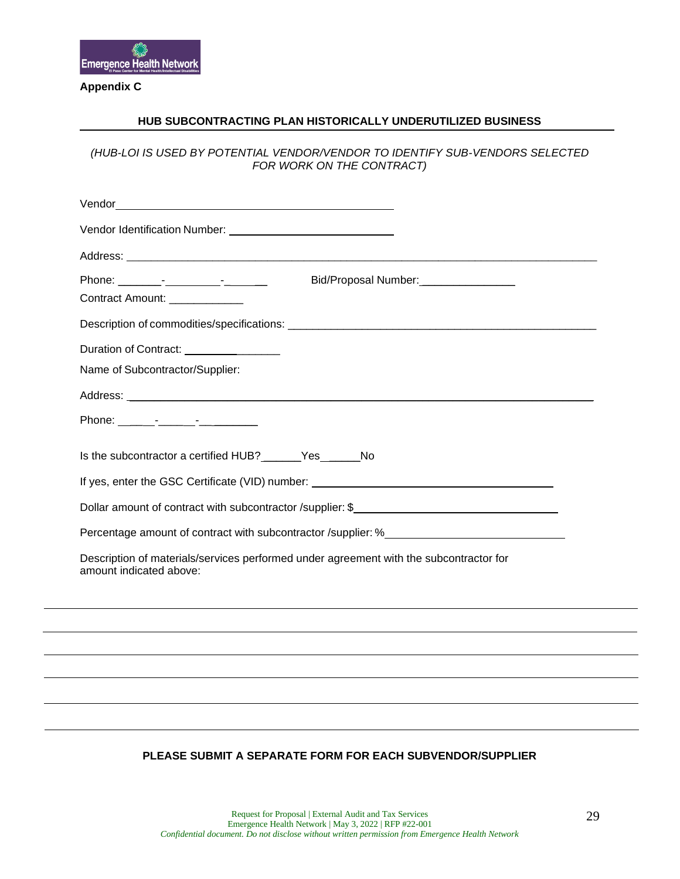

#### **Appendix C**

#### **HUB SUBCONTRACTING PLAN HISTORICALLY UNDERUTILIZED BUSINESS**

*(HUB-LOI IS USED BY POTENTIAL VENDOR/VENDOR TO IDENTIFY SUB-VENDORS SELECTED FOR WORK ON THE CONTRACT)*

| Bid/Proposal Number: _________________                                                                            |
|-------------------------------------------------------------------------------------------------------------------|
| Contract Amount: _____________                                                                                    |
|                                                                                                                   |
| Duration of Contract: ________________                                                                            |
| Name of Subcontractor/Supplier:                                                                                   |
|                                                                                                                   |
| Phone: _______-__________________                                                                                 |
| Is the subcontractor a certified HUB? _______ Yes _______ No                                                      |
|                                                                                                                   |
| Dollar amount of contract with subcontractor /supplier: \$                                                        |
| Percentage amount of contract with subcontractor /supplier: %                                                     |
| Description of materials/services performed under agreement with the subcontractor for<br>amount indicated above: |
|                                                                                                                   |
|                                                                                                                   |
|                                                                                                                   |
|                                                                                                                   |
|                                                                                                                   |
|                                                                                                                   |

#### **PLEASE SUBMIT A SEPARATE FORM FOR EACH SUBVENDOR/SUPPLIER**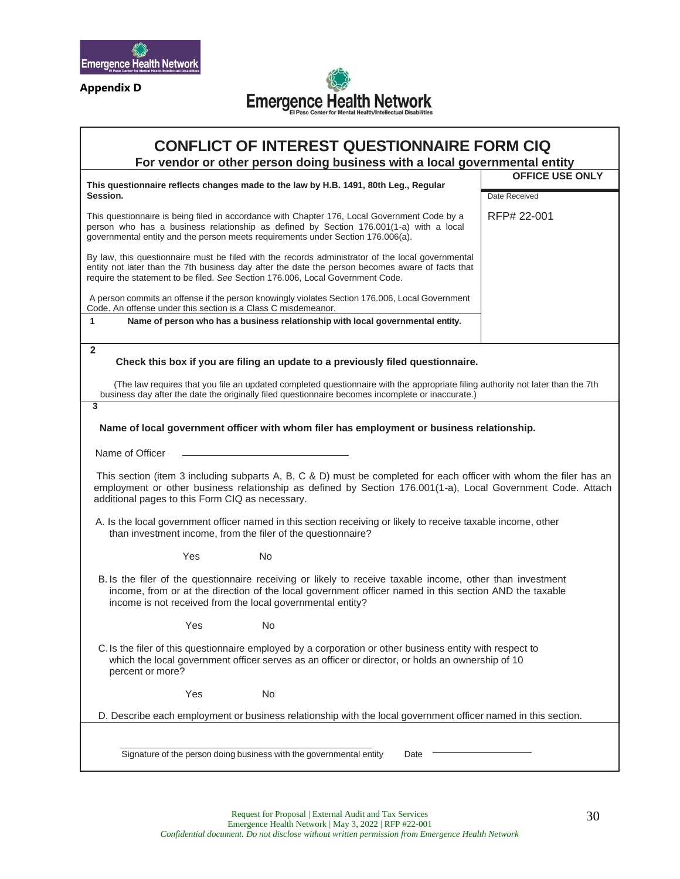

**Appendix D**



### **CONFLICT OF INTEREST QUESTIONNAIRE FORM CIQ**

**For vendor or other person doing business with a local governmental entity**

| This questionnaire reflects changes made to the law by H.B. 1491, 80th Leg., Regular                                                                                                                                                                                                    | <b>OFFICE USE ONLY</b> |  |  |
|-----------------------------------------------------------------------------------------------------------------------------------------------------------------------------------------------------------------------------------------------------------------------------------------|------------------------|--|--|
| Session.                                                                                                                                                                                                                                                                                | Date Received          |  |  |
| This questionnaire is being filed in accordance with Chapter 176, Local Government Code by a<br>person who has a business relationship as defined by Section 176.001(1-a) with a local<br>governmental entity and the person meets requirements under Section 176.006(a).               | RFP# 22-001            |  |  |
| By law, this questionnaire must be filed with the records administrator of the local governmental<br>entity not later than the 7th business day after the date the person becomes aware of facts that<br>require the statement to be filed. See Section 176.006, Local Government Code. |                        |  |  |
| A person commits an offense if the person knowingly violates Section 176.006, Local Government<br>Code. An offense under this section is a Class C misdemeanor.                                                                                                                         |                        |  |  |
| 1<br>Name of person who has a business relationship with local governmental entity.                                                                                                                                                                                                     |                        |  |  |
| $\overline{2}$                                                                                                                                                                                                                                                                          |                        |  |  |
| Check this box if you are filing an update to a previously filed questionnaire.                                                                                                                                                                                                         |                        |  |  |
| (The law requires that you file an updated completed questionnaire with the appropriate filing authority not later than the 7th<br>business day after the date the originally filed questionnaire becomes incomplete or inaccurate.)                                                    |                        |  |  |
| 3                                                                                                                                                                                                                                                                                       |                        |  |  |
| Name of local government officer with whom filer has employment or business relationship.                                                                                                                                                                                               |                        |  |  |
| Name of Officer                                                                                                                                                                                                                                                                         |                        |  |  |
| This section (item 3 including subparts A, B, C & D) must be completed for each officer with whom the filer has an<br>employment or other business relationship as defined by Section 176.001(1-a), Local Government Code. Attach<br>additional pages to this Form CIQ as necessary.    |                        |  |  |
| A. Is the local government officer named in this section receiving or likely to receive taxable income, other<br>than investment income, from the filer of the questionnaire?                                                                                                           |                        |  |  |
| Yes<br>No                                                                                                                                                                                                                                                                               |                        |  |  |
| B. Is the filer of the questionnaire receiving or likely to receive taxable income, other than investment<br>income, from or at the direction of the local government officer named in this section AND the taxable<br>income is not received from the local governmental entity?       |                        |  |  |
| No<br>Yes                                                                                                                                                                                                                                                                               |                        |  |  |
| C. Is the filer of this questionnaire employed by a corporation or other business entity with respect to<br>which the local government officer serves as an officer or director, or holds an ownership of 10<br>percent or more?                                                        |                        |  |  |
| Yes<br>No                                                                                                                                                                                                                                                                               |                        |  |  |
| D. Describe each employment or business relationship with the local government officer named in this section.                                                                                                                                                                           |                        |  |  |
|                                                                                                                                                                                                                                                                                         |                        |  |  |
| Signature of the person doing business with the governmental entity<br>Date                                                                                                                                                                                                             |                        |  |  |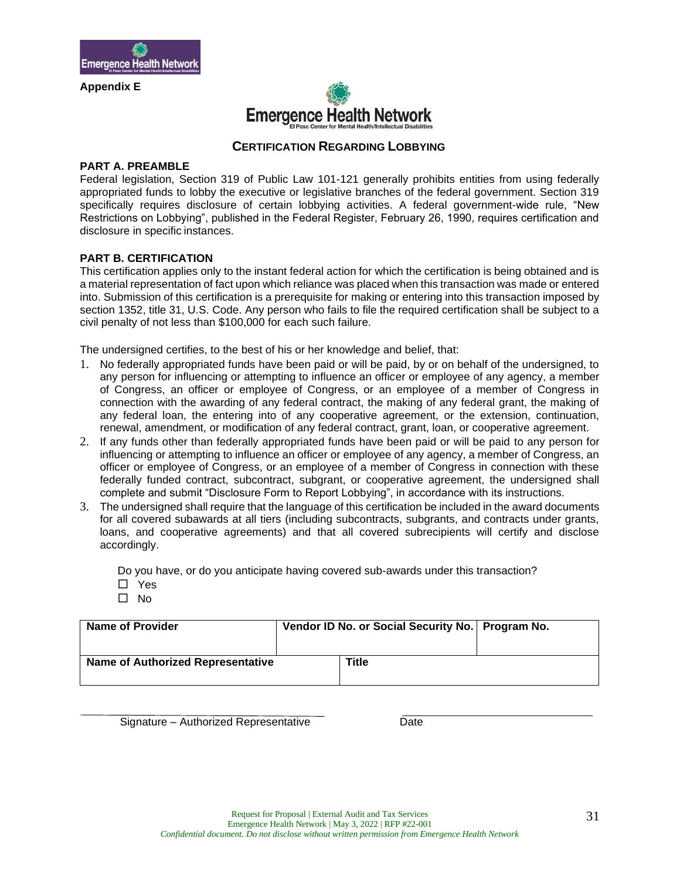

**Appendix E**



#### **CERTIFICATION REGARDING LOBBYING**

#### **PART A. PREAMBLE**

Federal legislation, Section 319 of Public Law 101-121 generally prohibits entities from using federally appropriated funds to lobby the executive or legislative branches of the federal government. Section 319 specifically requires disclosure of certain lobbying activities. A federal government-wide rule, "New Restrictions on Lobbying", published in the Federal Register, February 26, 1990, requires certification and disclosure in specific instances.

#### **PART B. CERTIFICATION**

This certification applies only to the instant federal action for which the certification is being obtained and is a material representation of fact upon which reliance was placed when this transaction was made or entered into. Submission of this certification is a prerequisite for making or entering into this transaction imposed by section 1352, title 31, U.S. Code. Any person who fails to file the required certification shall be subject to a civil penalty of not less than \$100,000 for each such failure.

The undersigned certifies, to the best of his or her knowledge and belief, that:

- 1. No federally appropriated funds have been paid or will be paid, by or on behalf of the undersigned, to any person for influencing or attempting to influence an officer or employee of any agency, a member of Congress, an officer or employee of Congress, or an employee of a member of Congress in connection with the awarding of any federal contract, the making of any federal grant, the making of any federal loan, the entering into of any cooperative agreement, or the extension, continuation, renewal, amendment, or modification of any federal contract, grant, loan, or cooperative agreement.
- 2. If any funds other than federally appropriated funds have been paid or will be paid to any person for influencing or attempting to influence an officer or employee of any agency, a member of Congress, an officer or employee of Congress, or an employee of a member of Congress in connection with these federally funded contract, subcontract, subgrant, or cooperative agreement, the undersigned shall complete and submit "Disclosure Form to Report Lobbying", in accordance with its instructions.
- 3. The undersigned shall require that the language of this certification be included in the award documents for all covered subawards at all tiers (including subcontracts, subgrants, and contracts under grants, loans, and cooperative agreements) and that all covered subrecipients will certify and disclose accordingly.

Do you have, or do you anticipate having covered sub-awards under this transaction? □ Yes

 $\Box$  No

| <b>Name of Provider</b>           | Vendor ID No. or Social Security No.   Program No. |       |  |
|-----------------------------------|----------------------------------------------------|-------|--|
| Name of Authorized Representative |                                                    | Title |  |

Signature – Authorized Representative Date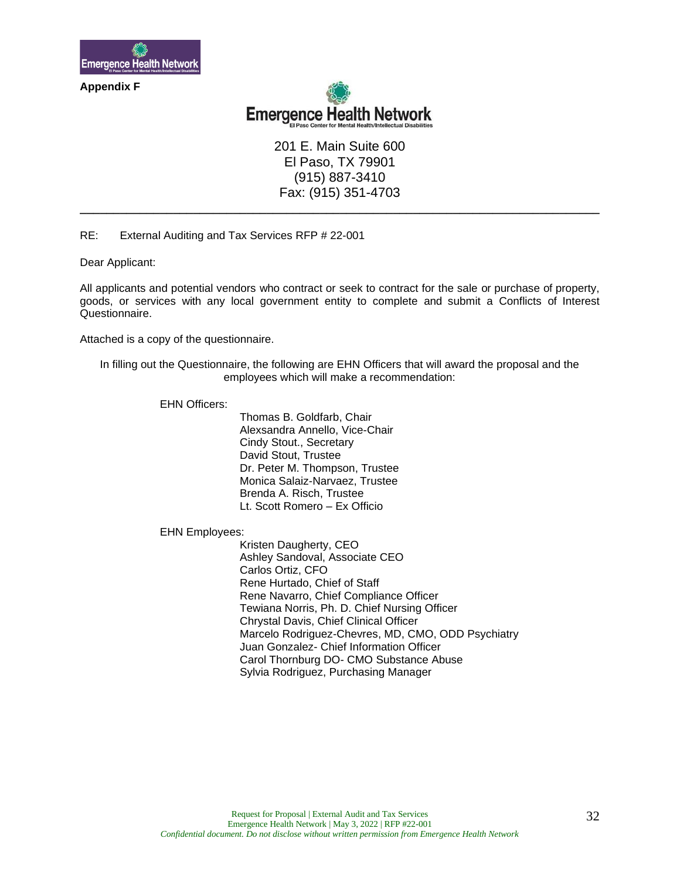

**Appendix F**



201 E. Main Suite 600 El Paso, TX 79901 (915) 887-3410 Fax: (915) 351-4703

**\_\_\_\_\_\_\_\_\_\_\_\_\_\_\_\_\_\_\_\_\_\_\_\_\_\_\_\_\_\_\_\_\_\_\_\_\_\_\_\_\_\_\_\_\_\_\_\_\_\_\_\_\_\_\_\_\_\_\_\_\_\_\_\_\_\_\_\_\_\_\_\_\_\_\_\_\_\_**

RE: External Auditing and Tax Services RFP # 22-001

Dear Applicant:

All applicants and potential vendors who contract or seek to contract for the sale or purchase of property, goods, or services with any local government entity to complete and submit a Conflicts of Interest Questionnaire.

Attached is a copy of the questionnaire.

In filling out the Questionnaire, the following are EHN Officers that will award the proposal and the employees which will make a recommendation:

EHN Officers:

Thomas B. Goldfarb, Chair Alexsandra Annello, Vice-Chair Cindy Stout., Secretary David Stout, Trustee Dr. Peter M. Thompson, Trustee Monica Salaiz-Narvaez, Trustee Brenda A. Risch, Trustee Lt. Scott Romero – Ex Officio

EHN Employees:

Kristen Daugherty, CEO Ashley Sandoval, Associate CEO Carlos Ortiz, CFO Rene Hurtado, Chief of Staff Rene Navarro, Chief Compliance Officer Tewiana Norris, Ph. D. Chief Nursing Officer Chrystal Davis, Chief Clinical Officer Marcelo Rodriguez-Chevres, MD, CMO, ODD Psychiatry Juan Gonzalez- Chief Information Officer Carol Thornburg DO- CMO Substance Abuse Sylvia Rodriguez, Purchasing Manager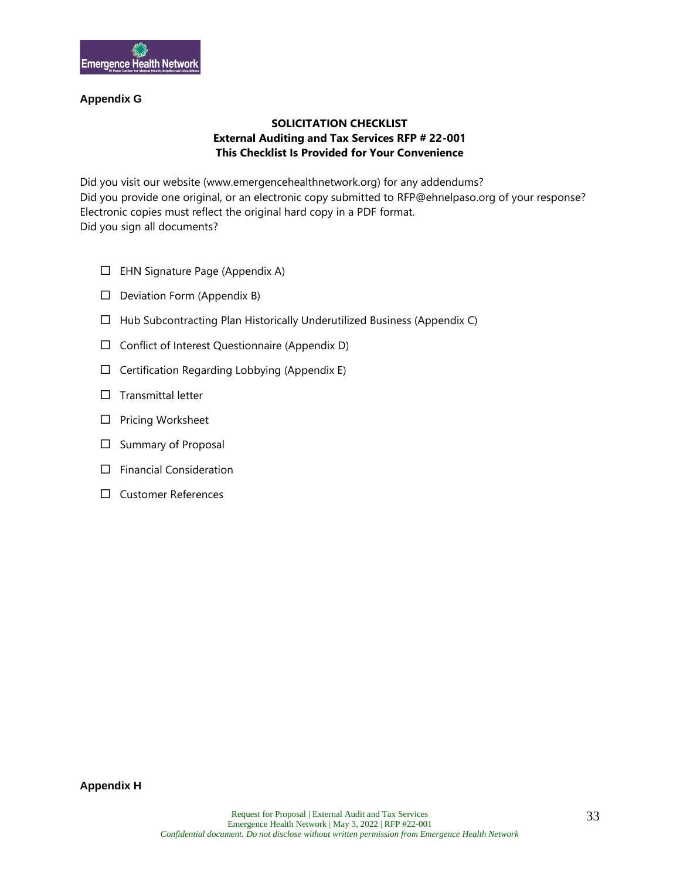

#### **Appendix G**

#### **SOLICITATION CHECKLIST External Auditing and Tax Services RFP # 22-001 This Checklist Is Provided for Your Convenience**

Did you visit our website (www.emergencehealthnetwork.org) for any addendums? Did you provide one original, or an electronic copy submitted to RFP@ehnelpaso.org of your response? Electronic copies must reflect the original hard copy in a PDF format. Did you sign all documents?

- $\Box$  EHN Signature Page (Appendix A)
- $\Box$  Deviation Form (Appendix B)
- $\Box$  Hub Subcontracting Plan Historically Underutilized Business (Appendix C)
- $\Box$  Conflict of Interest Questionnaire (Appendix D)
- $\Box$  Certification Regarding Lobbying (Appendix E)
- $\Box$  Transmittal letter
- $\square$  Pricing Worksheet
- $\square$  Summary of Proposal
- $\Box$  Financial Consideration
- □ Customer References

**Appendix H**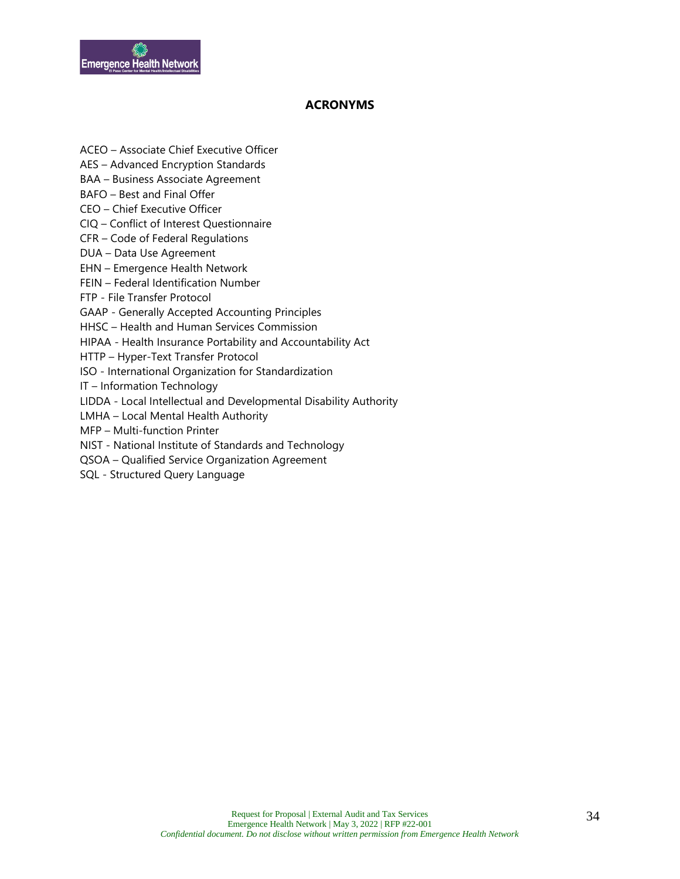

#### **ACRONYMS**

- ACEO Associate Chief Executive Officer
- AES Advanced Encryption Standards
- BAA Business Associate Agreement
- BAFO Best and Final Offer
- CEO Chief Executive Officer
- CIQ Conflict of Interest Questionnaire
- CFR Code of Federal Regulations
- DUA Data Use Agreement
- EHN Emergence Health Network
- FEIN Federal Identification Number
- FTP File Transfer Protocol
- GAAP Generally Accepted Accounting Principles
- HHSC Health and Human Services Commission
- HIPAA Health Insurance Portability and Accountability Act
- HTTP Hyper-Text Transfer Protocol
- ISO International Organization for Standardization
- IT Information Technology
- LIDDA Local Intellectual and Developmental Disability Authority
- LMHA Local Mental Health Authority
- MFP Multi-function Printer
- NIST National Institute of Standards and Technology
- QSOA Qualified Service Organization Agreement
- SQL Structured Query Language